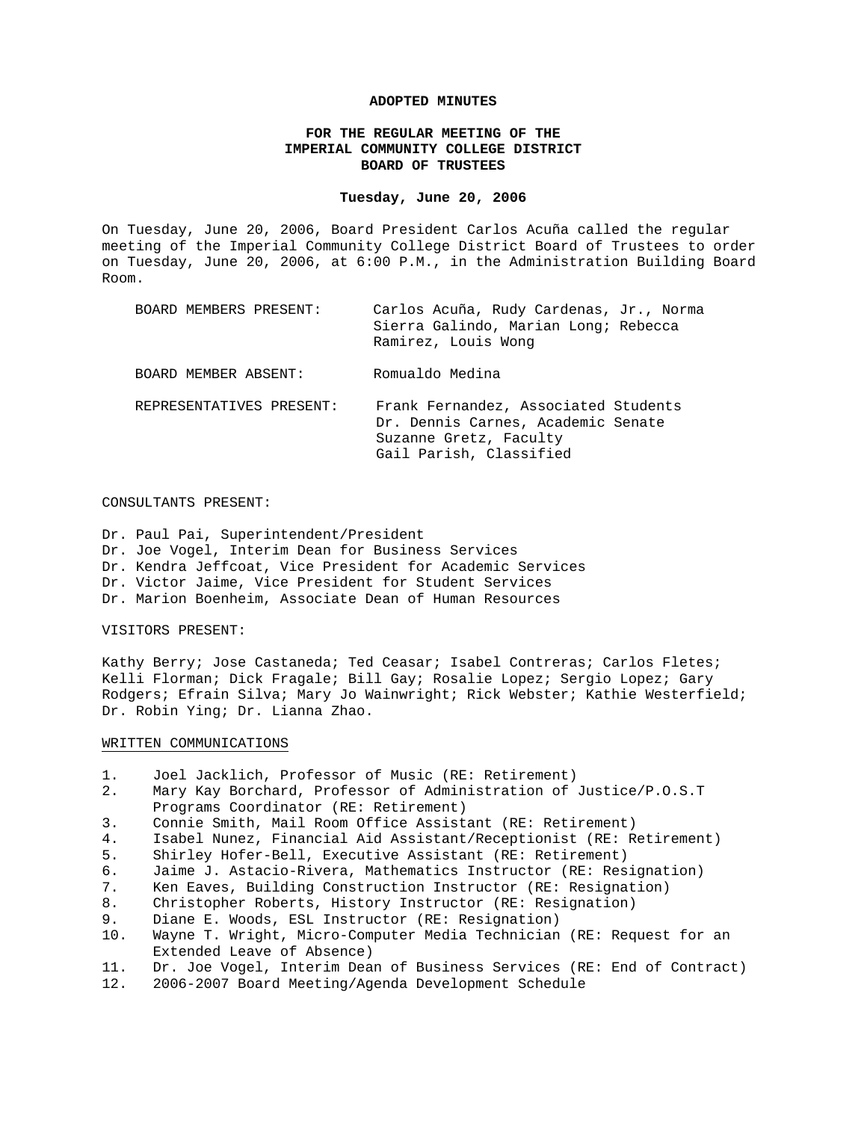#### **ADOPTED MINUTES**

#### **FOR THE REGULAR MEETING OF THE IMPERIAL COMMUNITY COLLEGE DISTRICT BOARD OF TRUSTEES**

#### **Tuesday, June 20, 2006**

On Tuesday, June 20, 2006, Board President Carlos Acuña called the regular meeting of the Imperial Community College District Board of Trustees to order on Tuesday, June 20, 2006, at 6:00 P.M., in the Administration Building Board Room.

| BOARD MEMBERS PRESENT:   | Carlos Acuña, Rudy Cardenas, Jr., Norma<br>Sierra Galindo, Marian Long; Rebecca<br>Ramirez, Louis Wong                          |
|--------------------------|---------------------------------------------------------------------------------------------------------------------------------|
| BOARD MEMBER ABSENT:     | Romualdo Medina                                                                                                                 |
| REPRESENTATIVES PRESENT: | Frank Fernandez, Associated Students<br>Dr. Dennis Carnes, Academic Senate<br>Suzanne Gretz, Faculty<br>Gail Parish, Classified |

#### CONSULTANTS PRESENT:

Dr. Paul Pai, Superintendent/President Dr. Joe Vogel, Interim Dean for Business Services Dr. Kendra Jeffcoat, Vice President for Academic Services Dr. Victor Jaime, Vice President for Student Services Dr. Marion Boenheim, Associate Dean of Human Resources

#### VISITORS PRESENT:

Kathy Berry; Jose Castaneda; Ted Ceasar; Isabel Contreras; Carlos Fletes; Kelli Florman; Dick Fragale; Bill Gay; Rosalie Lopez; Sergio Lopez; Gary Rodgers; Efrain Silva; Mary Jo Wainwright; Rick Webster; Kathie Westerfield; Dr. Robin Ying; Dr. Lianna Zhao.

#### WRITTEN COMMUNICATIONS

- 1. Joel Jacklich, Professor of Music (RE: Retirement)
- 2. Mary Kay Borchard, Professor of Administration of Justice/P.O.S.T Programs Coordinator (RE: Retirement)
- 3. Connie Smith, Mail Room Office Assistant (RE: Retirement)
- 4. Isabel Nunez, Financial Aid Assistant/Receptionist (RE: Retirement)
- 5. Shirley Hofer-Bell, Executive Assistant (RE: Retirement)
- 6. Jaime J. Astacio-Rivera, Mathematics Instructor (RE: Resignation)
- 7. Ken Eaves, Building Construction Instructor (RE: Resignation)
- 8. Christopher Roberts, History Instructor (RE: Resignation)
- 9. Diane E. Woods, ESL Instructor (RE: Resignation)
- 10. Wayne T. Wright, Micro-Computer Media Technician (RE: Request for an Extended Leave of Absence)
- 11. Dr. Joe Vogel, Interim Dean of Business Services (RE: End of Contract)
- 12. 2006-2007 Board Meeting/Agenda Development Schedule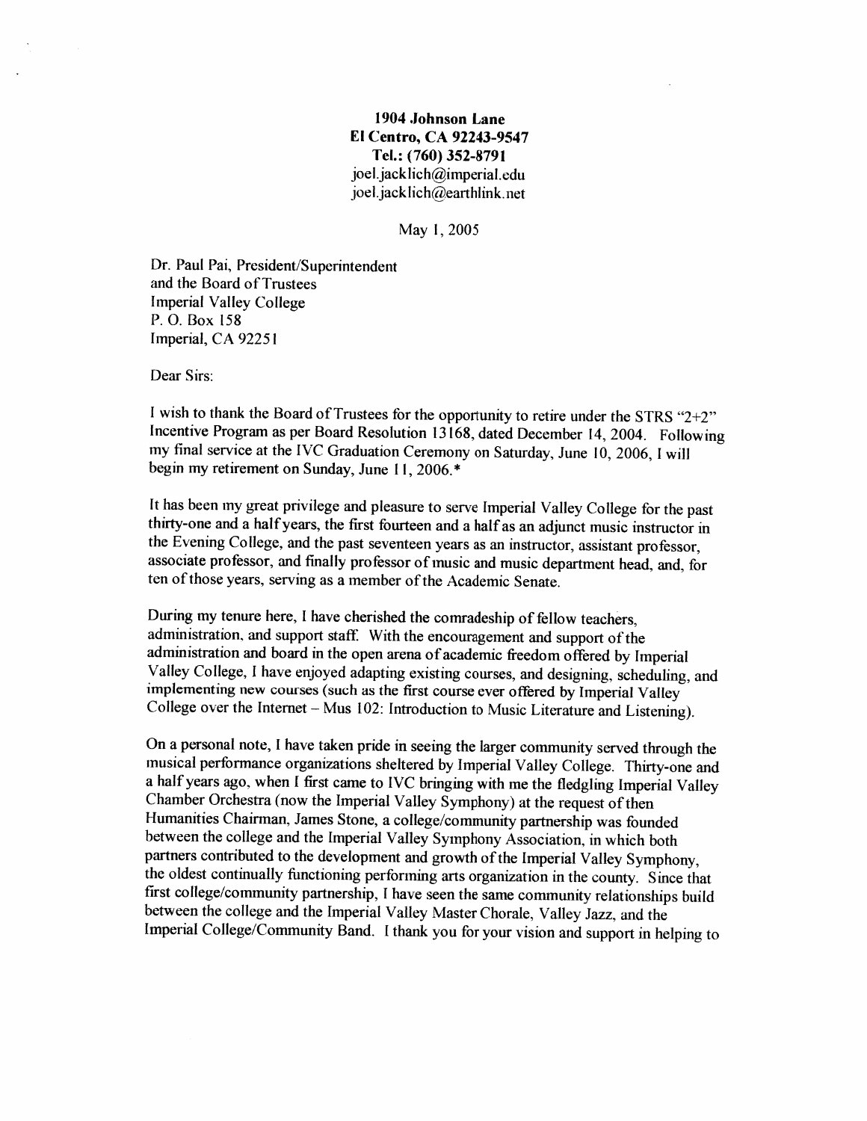# 1904 Johnson Lane El Centro, CA 92243-9547 Tel.: (760) 352-8791 joel.jacklich@imperial.edu joel.jacklich@earthlink.net

May 1, 2005

Dr. Paul Pai, President/Superintendent and the Board of Trustees **Imperial Valley College** P.O. Box 158 Imperial, CA 92251

Dear Sirs:

I wish to thank the Board of Trustees for the opportunity to retire under the STRS " $2+2$ " Incentive Program as per Board Resolution 13168, dated December 14, 2004. Following my final service at the IVC Graduation Ceremony on Saturday, June 10, 2006, I will begin my retirement on Sunday, June 11, 2006.\*

It has been my great privilege and pleasure to serve Imperial Valley College for the past thirty-one and a half years, the first fourteen and a half as an adjunct music instructor in the Evening College, and the past seventeen years as an instructor, assistant professor, associate professor, and finally professor of music and music department head, and, for ten of those years, serving as a member of the Academic Senate.

During my tenure here, I have cherished the comradeship of fellow teachers, administration, and support staff. With the encouragement and support of the administration and board in the open arena of academic freedom offered by Imperial Valley College, I have enjoyed adapting existing courses, and designing, scheduling, and implementing new courses (such as the first course ever offered by Imperial Valley College over the Internet – Mus 102: Introduction to Music Literature and Listening).

On a personal note, I have taken pride in seeing the larger community served through the musical performance organizations sheltered by Imperial Valley College. Thirty-one and a half years ago, when I first came to IVC bringing with me the fledgling Imperial Valley Chamber Orchestra (now the Imperial Valley Symphony) at the request of then Humanities Chairman, James Stone, a college/community partnership was founded between the college and the Imperial Valley Symphony Association, in which both partners contributed to the development and growth of the Imperial Valley Symphony, the oldest continually functioning performing arts organization in the county. Since that first college/community partnership, I have seen the same community relationships build between the college and the Imperial Valley Master Chorale, Valley Jazz, and the Imperial College/Community Band. I thank you for your vision and support in helping to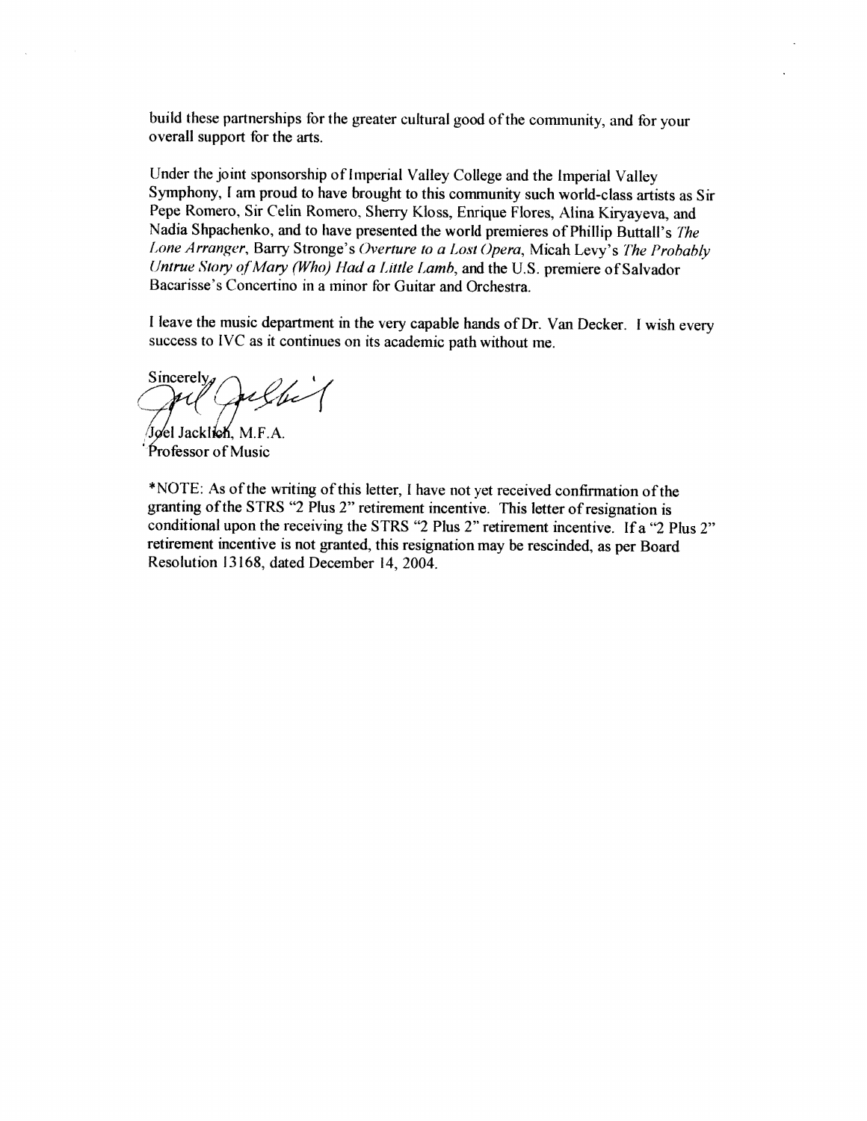build these partnerships for the greater cultural good of the community, and for your overall support for the arts.

Under the joint sponsorship of Imperial Valley College and the Imperial Valley Symphony, I am proud to have brought to this community such world-class artists as Sir Pepe Romero, Sir Celin Romero, Sherry Kloss, Enrique Flores, Alina Kiryayeva, and Nadia Shpachenko, and to have presented the world premieres of Phillip Buttall's The Lone Arranger, Barry Stronge's Overture to a Lost Opera, Micah Levy's The Probably Untrue Story of Mary (Who) Had a Little Lamb, and the U.S. premiere of Salvador Bacarisse's Concertino in a minor for Guitar and Orchestra.

I leave the music department in the very capable hands of Dr. Van Decker. I wish every success to IVC as it continues on its academic path without me.

Sincerely.

Jøel Jacklich, M.F.A. Professor of Music

\*NOTE: As of the writing of this letter, I have not yet received confirmation of the granting of the STRS "2 Plus 2" retirement incentive. This letter of resignation is conditional upon the receiving the STRS "2 Plus 2" retirement incentive. If a "2 Plus 2" retirement incentive is not granted, this resignation may be rescinded, as per Board Resolution 13168, dated December 14, 2004.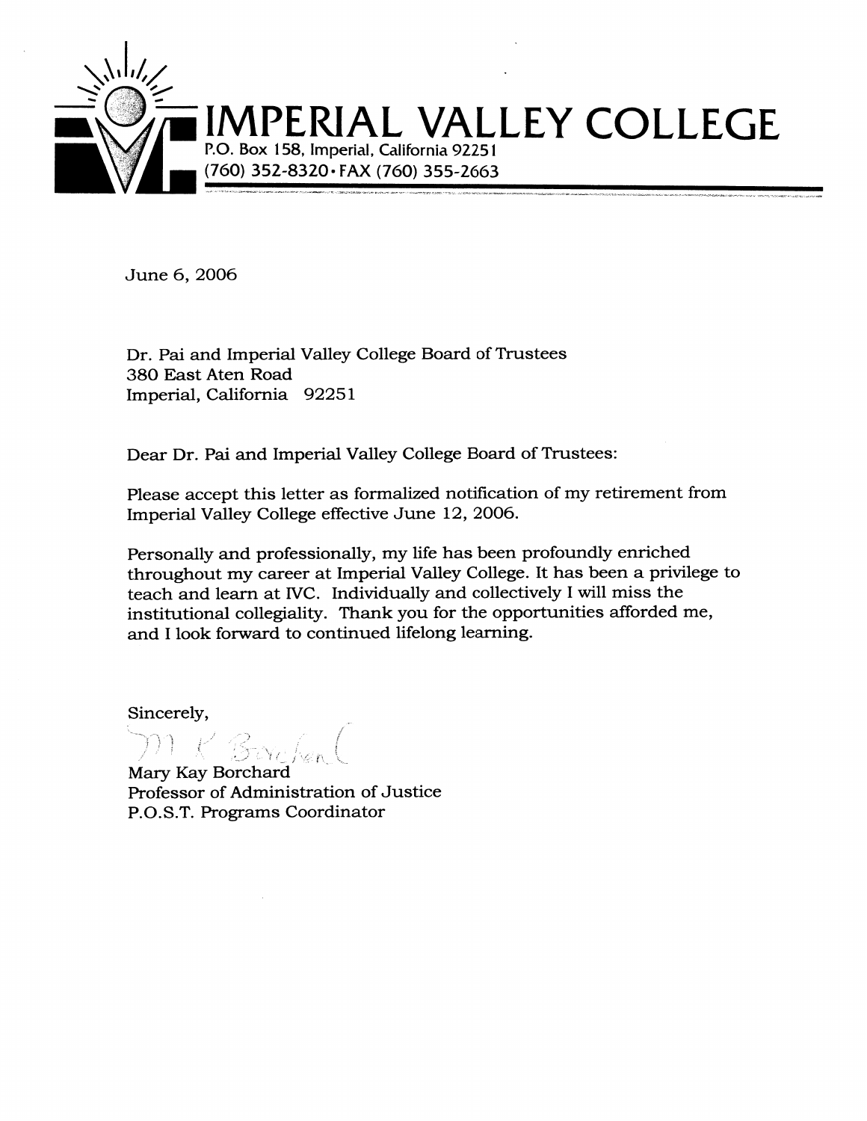

June 6, 2006

Dr. Pai and Imperial Valley College Board of Trustees 380 East Aten Road Imperial, California 92251

Dear Dr. Pai and Imperial Valley College Board of Trustees:

Please accept this letter as formalized notification of my retirement from Imperial Valley College effective June 12, 2006.

Personally and professionally, my life has been profoundly enriched throughout my career at Imperial Valley College. It has been a privilege to teach and learn at IVC. Individually and collectively I will miss the institutional collegiality. Thank you for the opportunities afforded me, and I look forward to continued lifelong learning.

Sincerely,

Mary Kay Borchard Professor of Administration of Justice P.O.S.T. Programs Coordinator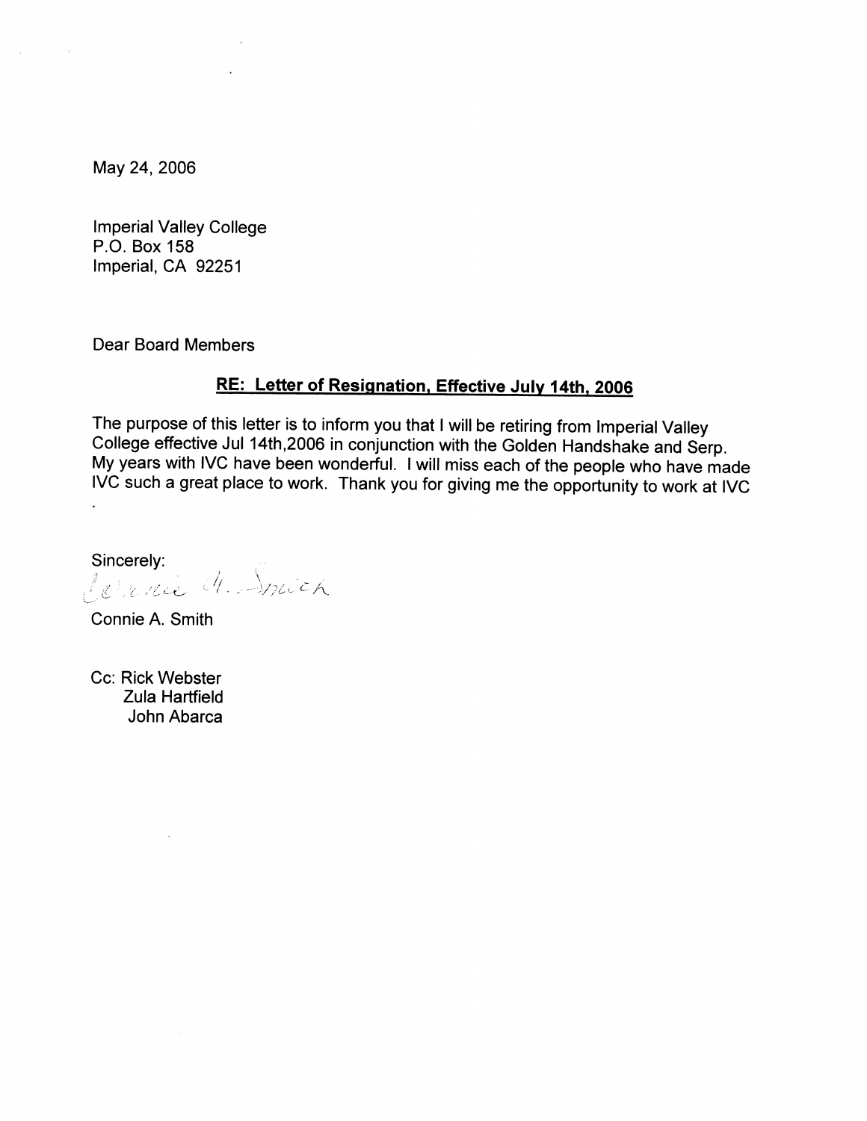May 24, 2006

 $\sim$   $\sim$ 

**Imperial Valley College** P.O. Box 158 Imperial, CA 92251

**Dear Board Members** 

# RE: Letter of Resignation, Effective July 14th, 2006

The purpose of this letter is to inform you that I will be retiring from Imperial Valley College effective Jul 14th, 2006 in conjunction with the Golden Handshake and Serp. My years with IVC have been wonderful. I will miss each of the people who have made IVC such a great place to work. Thank you for giving me the opportunity to work at IVC

Sincerely: Sincereig.<br>Le rence M. Smich

Connie A. Smith

Cc: Rick Webster **Zula Hartfield** John Abarca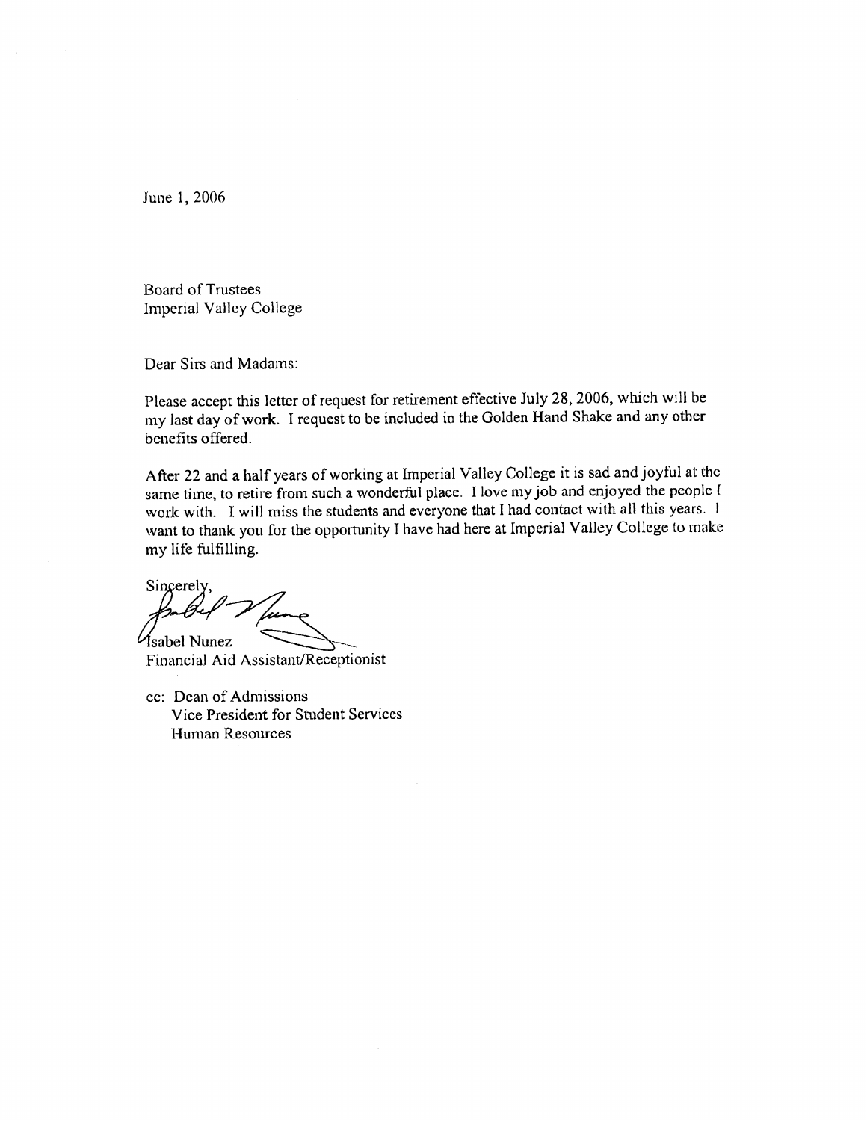June 1, 2006

**Board of Trustees** Imperial Valley College

Dear Sirs and Madams:

Please accept this letter of request for retirement effective July 28, 2006, which will be my last day of work. I request to be included in the Golden Hand Shake and any other benefits offered.

After 22 and a half years of working at Imperial Valley College it is sad and joyful at the same time, to retire from such a wonderful place. I love my job and enjoyed the people I work with. I will miss the students and everyone that I had contact with all this years. I want to thank you for the opportunity I have had here at Imperial Valley College to make my life fulfilling.

Sincerely,

*Asabel Nunez* Financial Aid Assistant/Receptionist

cc: Dean of Admissions Vice President for Student Services Human Resources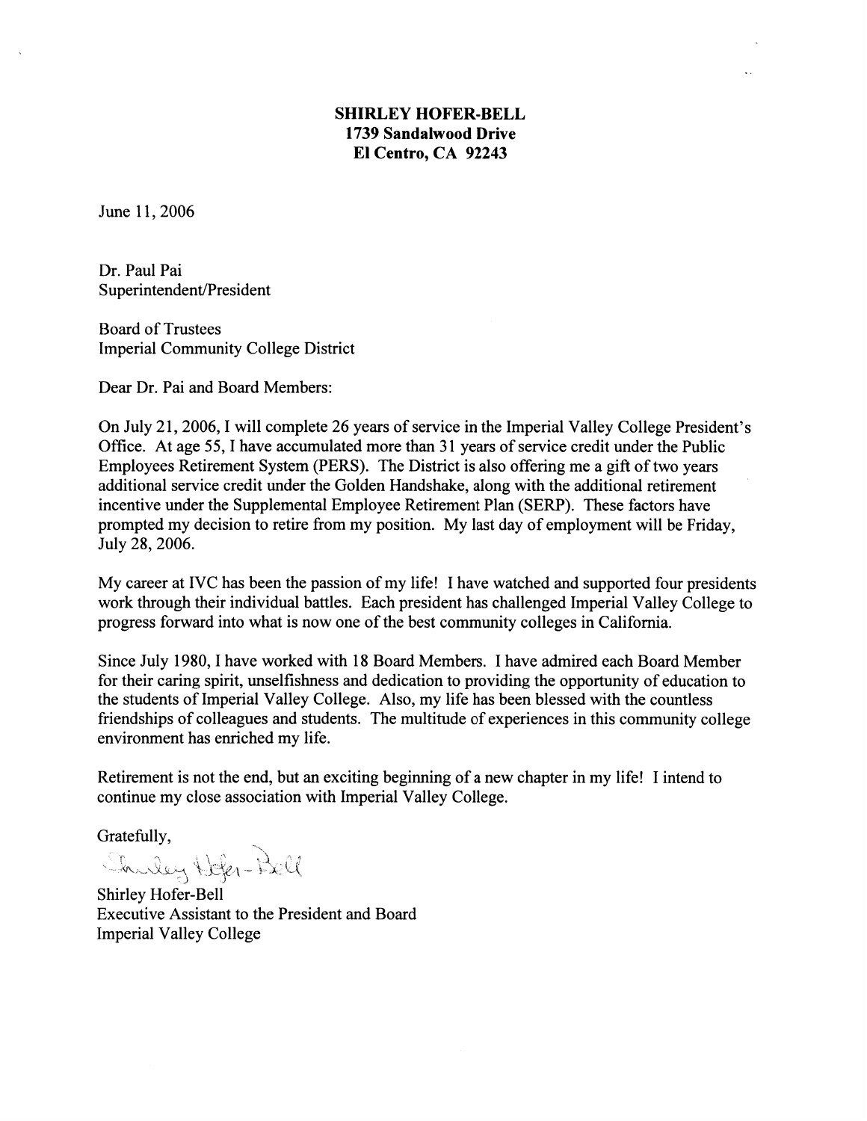# **SHIRLEY HOFER-BELL** 1739 Sandalwood Drive El Centro, CA 92243

June 11, 2006

Dr. Paul Pai Superintendent/President

**Board of Trustees Imperial Community College District** 

Dear Dr. Pai and Board Members:

On July 21, 2006, I will complete 26 years of service in the Imperial Valley College President's Office. At age 55, I have accumulated more than 31 years of service credit under the Public Employees Retirement System (PERS). The District is also offering me a gift of two years additional service credit under the Golden Handshake, along with the additional retirement incentive under the Supplemental Employee Retirement Plan (SERP). These factors have prompted my decision to retire from my position. My last day of employment will be Friday, July 28, 2006.

My career at IVC has been the passion of my life! I have watched and supported four presidents work through their individual battles. Each president has challenged Imperial Valley College to progress forward into what is now one of the best community colleges in California.

Since July 1980, I have worked with 18 Board Members. I have admired each Board Member for their caring spirit, unselfishness and dedication to providing the opportunity of education to the students of Imperial Valley College. Also, my life has been blessed with the countless friendships of colleagues and students. The multitude of experiences in this community college environment has enriched my life.

Retirement is not the end, but an exciting beginning of a new chapter in my life! I intend to continue my close association with Imperial Valley College.

Gratefully,

Shuley Hofer-Bell

Shirley Hofer-Bell Executive Assistant to the President and Board **Imperial Valley College**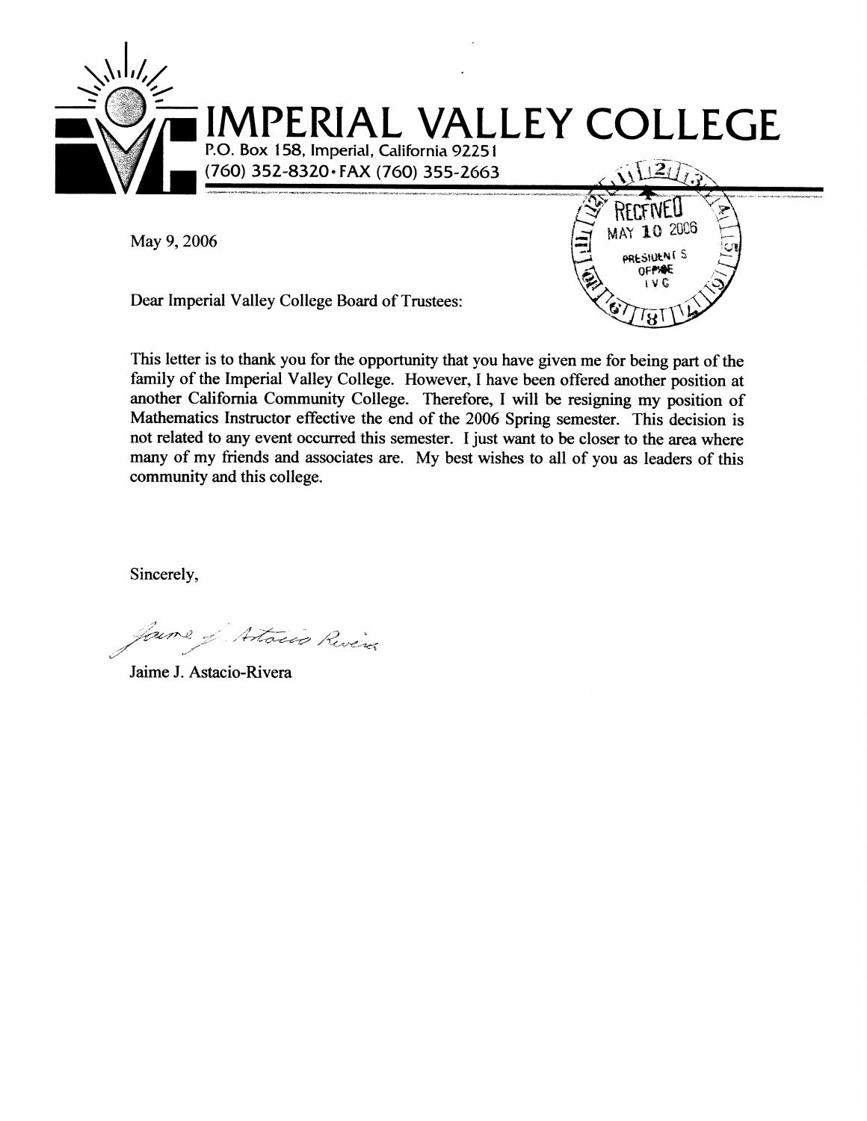

MAY 10 2006

PRESIDENTS OFFINE i v C

May 9, 2006

Dear Imperial Valley College Board of Trustees:

This letter is to thank you for the opportunity that you have given me for being part of the family of the Imperial Valley College. However, I have been offered another position at another California Community College. Therefore, I will be resigning my position of Mathematics Instructor effective the end of the 2006 Spring semester. This decision is not related to any event occurred this semester. I just want to be closer to the area where many of my friends and associates are. My best wishes to all of you as leaders of this community and this college.

Sincerely,

Artoins River

Jaime J. Astacio-Rivera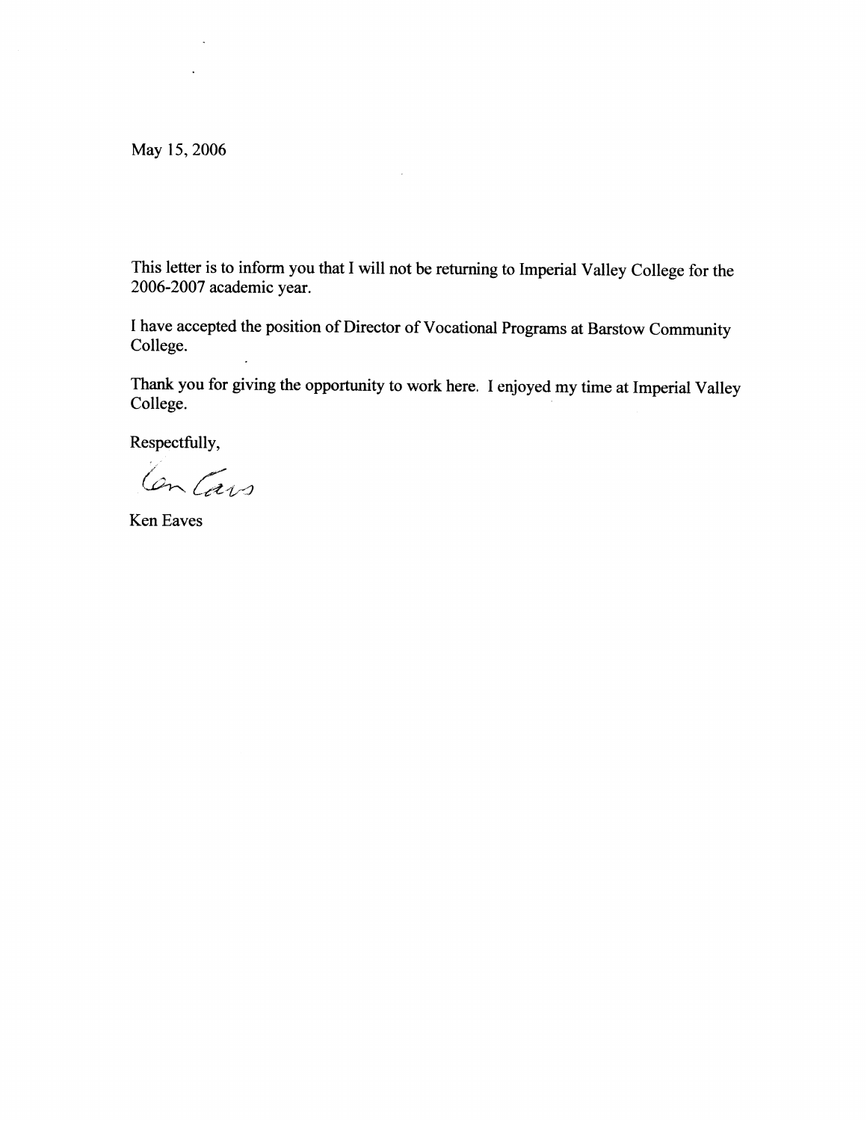May 15, 2006

 $\sim$ 

This letter is to inform you that I will not be returning to Imperial Valley College for the 2006-2007 academic year.

 $\mathcal{A}^{\pm}$ 

I have accepted the position of Director of Vocational Programs at Barstow Community College.

Thank you for giving the opportunity to work here. I enjoyed my time at Imperial Valley College.

Respectfully,

Contains

Ken Eaves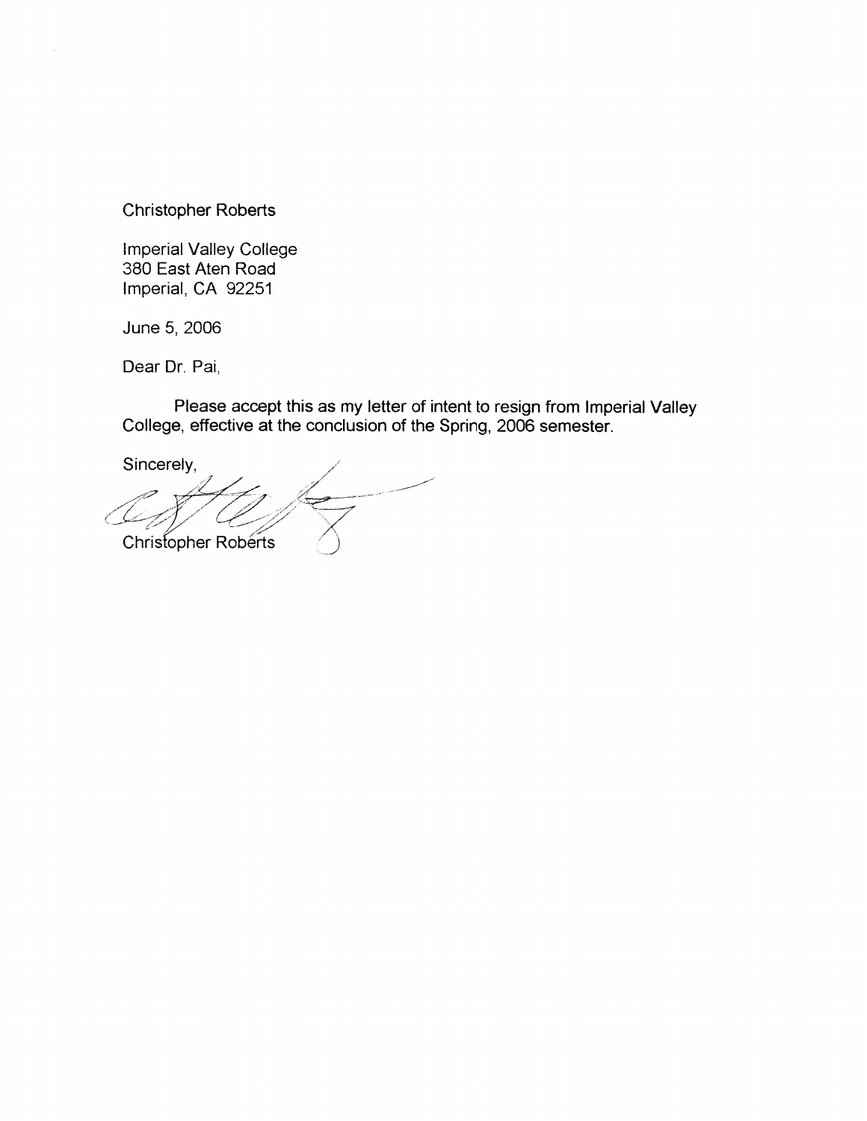**Christopher Roberts** 

**Imperial Valley College** 380 East Aten Road Imperial, CA 92251

June 5, 2006

Dear Dr. Pai,

Please accept this as my letter of intent to resign from Imperial Valley<br>College, effective at the conclusion of the Spring, 2006 semester.

Sincerely,

Christopher Roberts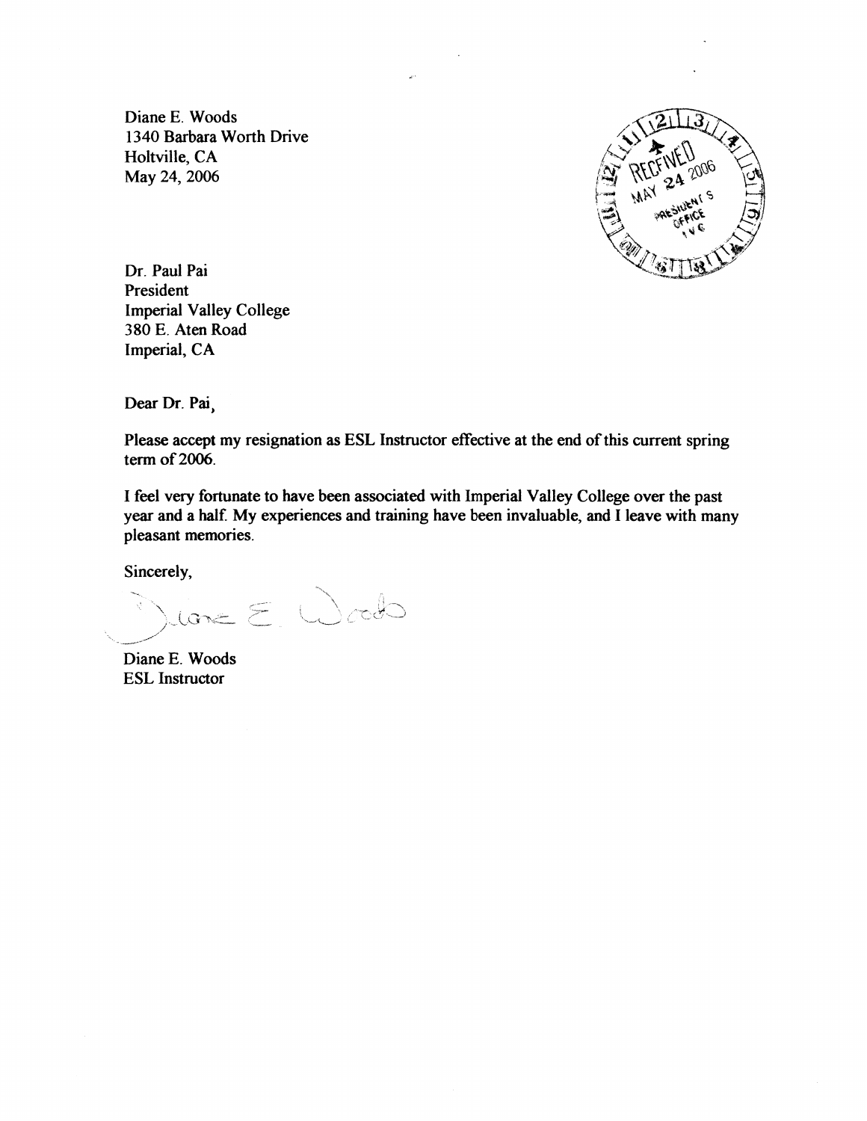Diane E. Woods 1340 Barbara Worth Drive Holtville, CA May 24, 2006



Dr. Paul Pai President **Imperial Valley College** 380 E. Aten Road Imperial, CA

Dear Dr. Pai

Please accept my resignation as ESL Instructor effective at the end of this current spring term of 2006.

I feel very fortunate to have been associated with Imperial Valley College over the past year and a half. My experiences and training have been invaluable, and I leave with many pleasant memories.

Sincerely,

lone E. Woods

Diane E. Woods **ESL** Instructor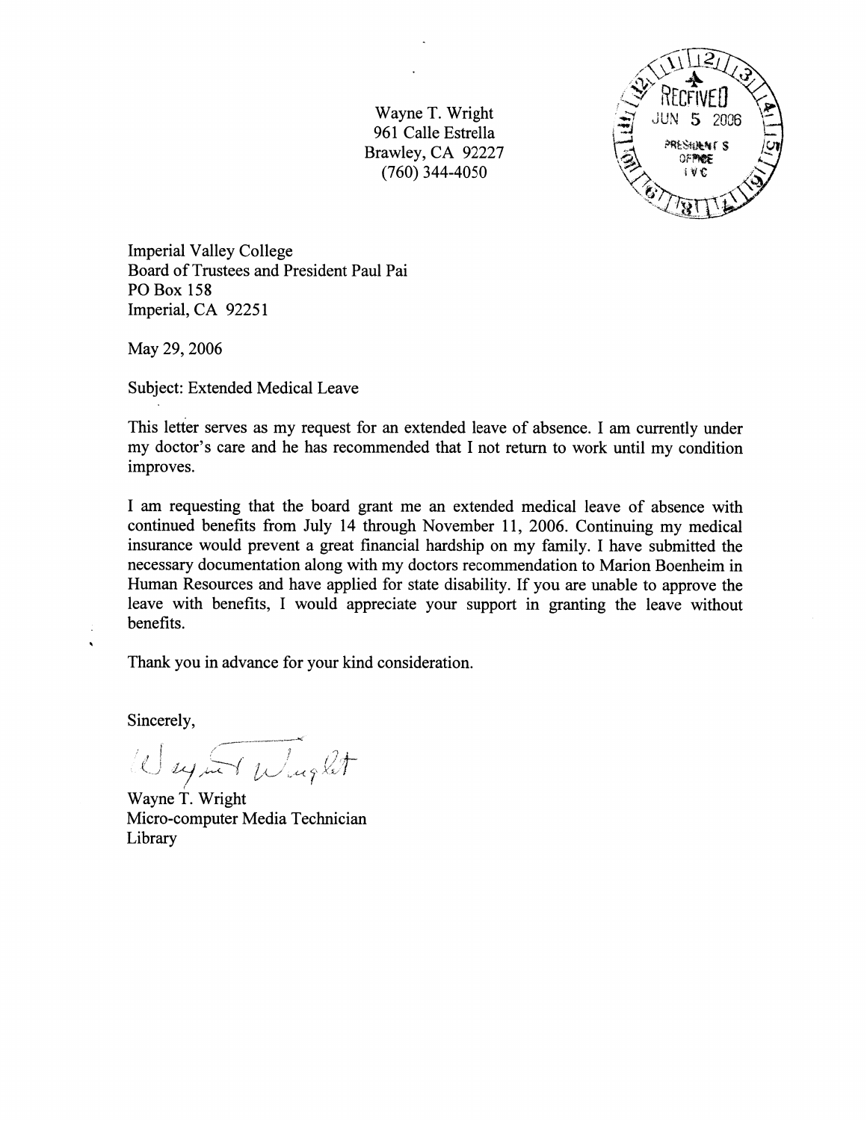Wayne T. Wright 961 Calle Estrella Brawley, CA 92227  $(760)$  344-4050



**Imperial Valley College** Board of Trustees and President Paul Pai **PO Box 158** Imperial, CA 92251

May 29, 2006

Subject: Extended Medical Leave

This letter serves as my request for an extended leave of absence. I am currently under my doctor's care and he has recommended that I not return to work until my condition improves.

I am requesting that the board grant me an extended medical leave of absence with continued benefits from July 14 through November 11, 2006. Continuing my medical insurance would prevent a great financial hardship on my family. I have submitted the necessary documentation along with my doctors recommendation to Marion Boenheim in Human Resources and have applied for state disability. If you are unable to approve the leave with benefits, I would appreciate your support in granting the leave without benefits.

Thank you in advance for your kind consideration.

Sincerely,

 $\ddot{\phantom{a}}$ 

Weyner Wright

Wayne T. Wright Micro-computer Media Technician Library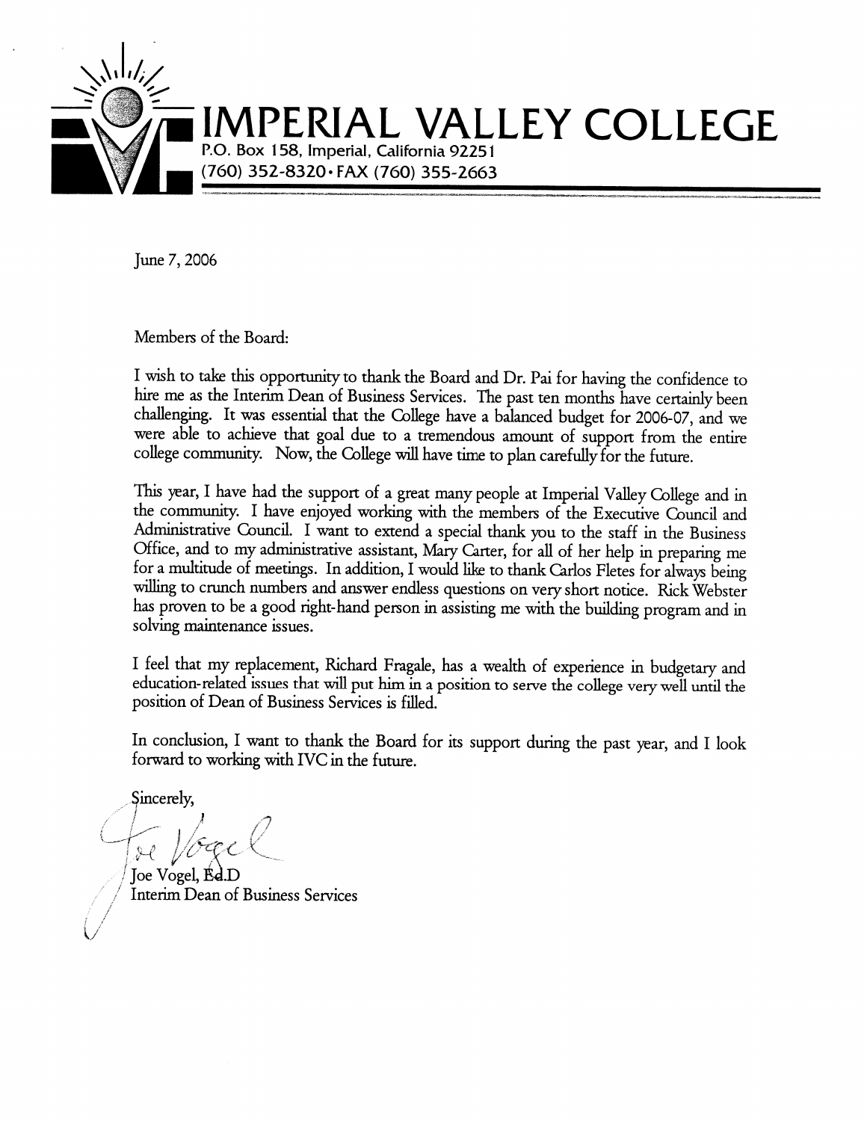

June 7, 2006

Members of the Board:

I wish to take this opportunity to thank the Board and Dr. Pai for having the confidence to hire me as the Interim Dean of Business Services. The past ten months have certainly been challenging. It was essential that the College have a balanced budget for 2006-07, and we were able to achieve that goal due to a tremendous amount of support from the entire college community. Now, the College will have time to plan carefully for the future.

This year, I have had the support of a great many people at Imperial Valley College and in the community. I have enjoyed working with the members of the Executive Council and Administrative Council. I want to extend a special thank you to the staff in the Business Office, and to my administrative assistant, Mary Carter, for all of her help in preparing me for a multitude of meetings. In addition, I would like to thank Carlos Fletes for always being willing to crunch numbers and answer endless questions on very short notice. Rick Webster has proven to be a good right-hand person in assisting me with the building program and in solving maintenance issues.

I feel that my replacement, Richard Fragale, has a wealth of experience in budgetary and education-related issues that will put him in a position to serve the college very well until the position of Dean of Business Services is filled.

In conclusion, I want to thank the Board for its support during the past year, and I look forward to working with IVC in the future.

Sincerely,

Toe Vogel, Ed.D **Interim Dean of Business Services**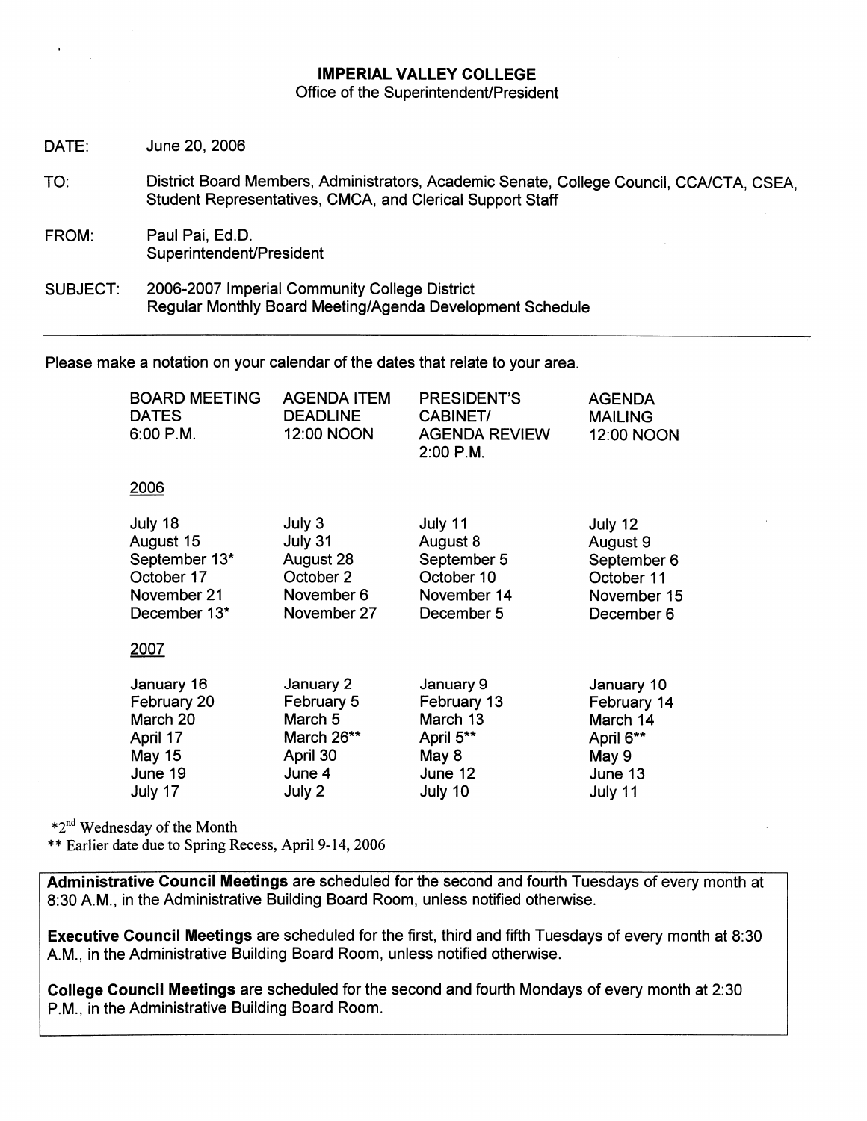# **IMPERIAL VALLEY COLLEGE** Office of the Superintendent/President

| DATE:    | June 20, 2006                                                                                                                                         |
|----------|-------------------------------------------------------------------------------------------------------------------------------------------------------|
| TO:      | District Board Members, Administrators, Academic Senate, College Council, CCA/CTA, CSEA,<br>Student Representatives, CMCA, and Clerical Support Staff |
| FROM:    | Paul Pai, Ed.D.<br>Superintendent/President                                                                                                           |
| SUBJECT: | 2006-2007 Imperial Community College District<br>Regular Monthly Board Meeting/Agenda Development Schedule                                            |

Please make a notation on your calendar of the dates that relate to your area.

| <b>BOARD MEETING</b><br><b>DATES</b><br>$6:00$ P.M. | <b>AGENDA ITEM</b><br><b>DEADLINE</b><br>12:00 NOON | <b>PRESIDENT'S</b><br>CABINET/<br><b>AGENDA REVIEW</b><br>$2:00$ P.M. | <b>AGENDA</b><br><b>MAILING</b><br>12:00 NOON |
|-----------------------------------------------------|-----------------------------------------------------|-----------------------------------------------------------------------|-----------------------------------------------|
| 2006                                                |                                                     |                                                                       |                                               |
| July 18<br>$A \cdot A \cdot A$                      | July 3<br>1.1.724                                   | July 11<br>$A \cdot \ldots \cdot A$                                   | July 12<br>$A \cdot A \cdot A$                |

| August 15     | July 31     | August 8    | August 9    |
|---------------|-------------|-------------|-------------|
| September 13* | August 28   | September 5 | September 6 |
| October 17    | October 2   | October 10  | October 11  |
| November 21   | November 6  | November 14 | November 15 |
| December 13*  | November 27 | December 5  | December 6  |
| 2007          |             |             |             |
| January 16    | January 2   | January 9   | January 10  |
| February 20   | February 5  | February 13 | February 14 |
| March 20      | March 5     | March 13    | March 14    |
| April 17      | March 26**  | April 5**   | April 6**   |
| May 15        | April 30    | May 8       | May 9       |
| June 19       | June 4      | June 12     | June 13     |
| July 17       | July 2      | July 10     | July 11     |

\*2<sup>nd</sup> Wednesday of the Month

\*\* Earlier date due to Spring Recess, April 9-14, 2006

Administrative Council Meetings are scheduled for the second and fourth Tuesdays of every month at 8:30 A.M., in the Administrative Building Board Room, unless notified otherwise.

Executive Council Meetings are scheduled for the first, third and fifth Tuesdays of every month at 8:30 A.M., in the Administrative Building Board Room, unless notified otherwise.

College Council Meetings are scheduled for the second and fourth Mondays of every month at 2:30 P.M., in the Administrative Building Board Room.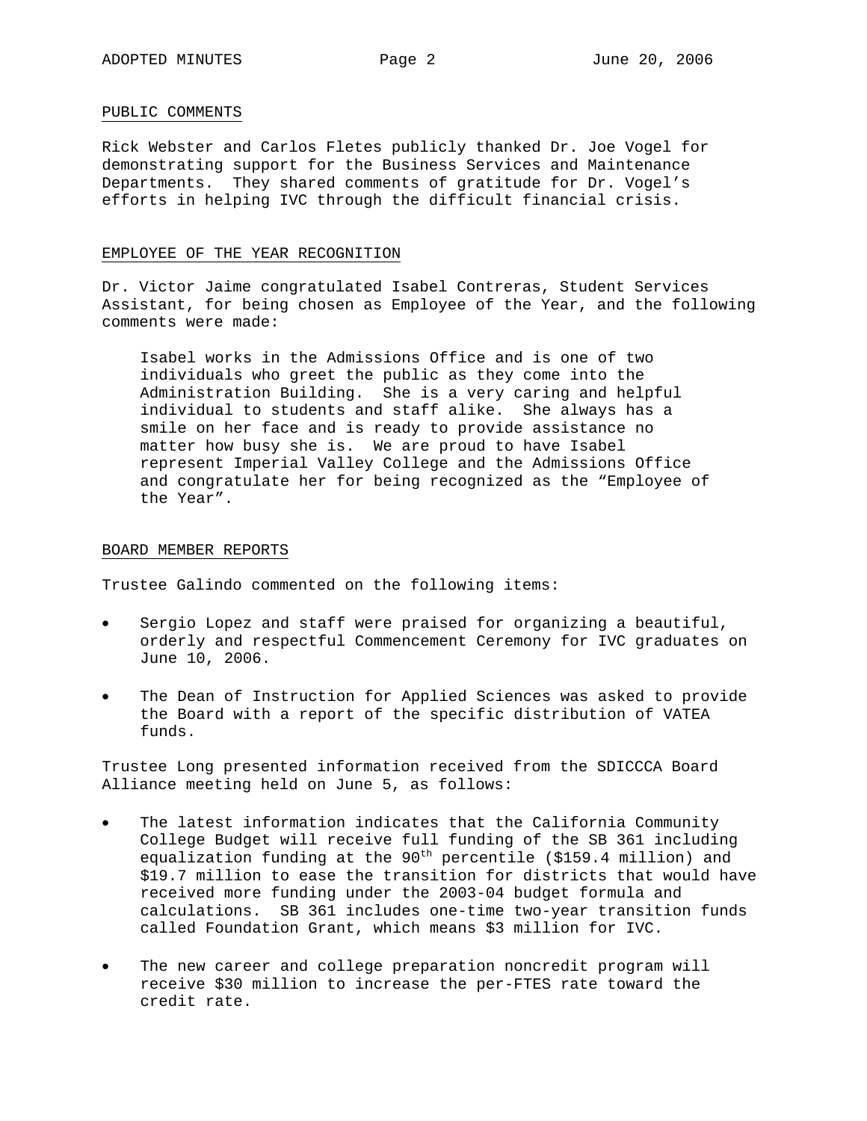#### PUBLIC COMMENTS

Rick Webster and Carlos Fletes publicly thanked Dr. Joe Vogel for demonstrating support for the Business Services and Maintenance Departments. They shared comments of gratitude for Dr. Vogel's efforts in helping IVC through the difficult financial crisis.

#### EMPLOYEE OF THE YEAR RECOGNITION

Dr. Victor Jaime congratulated Isabel Contreras, Student Services Assistant, for being chosen as Employee of the Year, and the following comments were made:

Isabel works in the Admissions Office and is one of two individuals who greet the public as they come into the Administration Building. She is a very caring and helpful individual to students and staff alike. She always has a smile on her face and is ready to provide assistance no matter how busy she is. We are proud to have Isabel represent Imperial Valley College and the Admissions Office and congratulate her for being recognized as the "Employee of the Year".

#### BOARD MEMBER REPORTS

Trustee Galindo commented on the following items:

- Sergio Lopez and staff were praised for organizing a beautiful, orderly and respectful Commencement Ceremony for IVC graduates on June 10, 2006.
- The Dean of Instruction for Applied Sciences was asked to provide the Board with a report of the specific distribution of VATEA funds.

Trustee Long presented information received from the SDICCCA Board Alliance meeting held on June 5, as follows:

- The latest information indicates that the California Community College Budget will receive full funding of the SB 361 including equalization funding at the  $90<sup>th</sup>$  percentile (\$159.4 million) and \$19.7 million to ease the transition for districts that would have received more funding under the 2003-04 budget formula and calculations. SB 361 includes one-time two-year transition funds called Foundation Grant, which means \$3 million for IVC.
- The new career and college preparation noncredit program will receive \$30 million to increase the per-FTES rate toward the credit rate.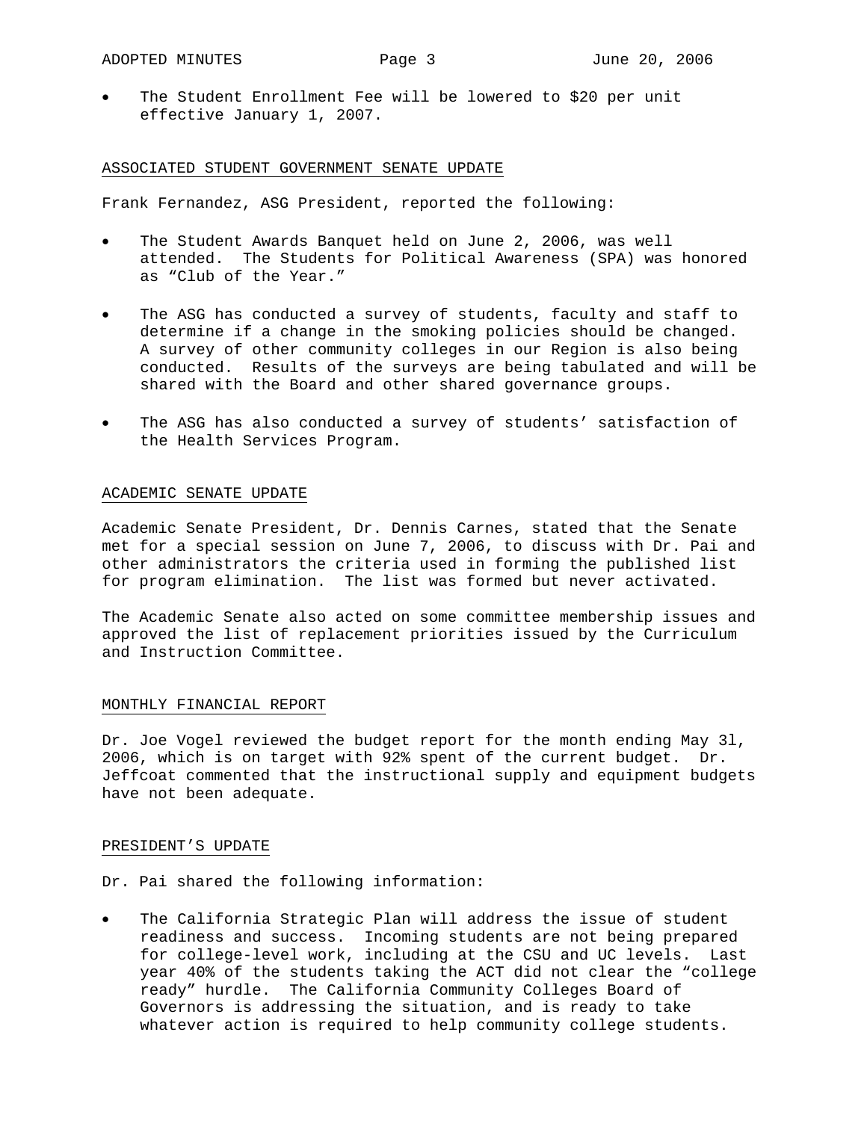The Student Enrollment Fee will be lowered to \$20 per unit effective January 1, 2007.

#### ASSOCIATED STUDENT GOVERNMENT SENATE UPDATE

Frank Fernandez, ASG President, reported the following:

- The Student Awards Banquet held on June 2, 2006, was well attended. The Students for Political Awareness (SPA) was honored as "Club of the Year."
- The ASG has conducted a survey of students, faculty and staff to determine if a change in the smoking policies should be changed. A survey of other community colleges in our Region is also being conducted. Results of the surveys are being tabulated and will be shared with the Board and other shared governance groups.
- The ASG has also conducted a survey of students' satisfaction of the Health Services Program.

#### ACADEMIC SENATE UPDATE

Academic Senate President, Dr. Dennis Carnes, stated that the Senate met for a special session on June 7, 2006, to discuss with Dr. Pai and other administrators the criteria used in forming the published list for program elimination. The list was formed but never activated.

The Academic Senate also acted on some committee membership issues and approved the list of replacement priorities issued by the Curriculum and Instruction Committee.

#### MONTHLY FINANCIAL REPORT

Dr. Joe Vogel reviewed the budget report for the month ending May 3l, 2006, which is on target with 92% spent of the current budget. Dr. Jeffcoat commented that the instructional supply and equipment budgets have not been adequate.

#### PRESIDENT'S UPDATE

Dr. Pai shared the following information:

The California Strategic Plan will address the issue of student readiness and success. Incoming students are not being prepared for college-level work, including at the CSU and UC levels. Last year 40% of the students taking the ACT did not clear the "college ready" hurdle. The California Community Colleges Board of Governors is addressing the situation, and is ready to take whatever action is required to help community college students.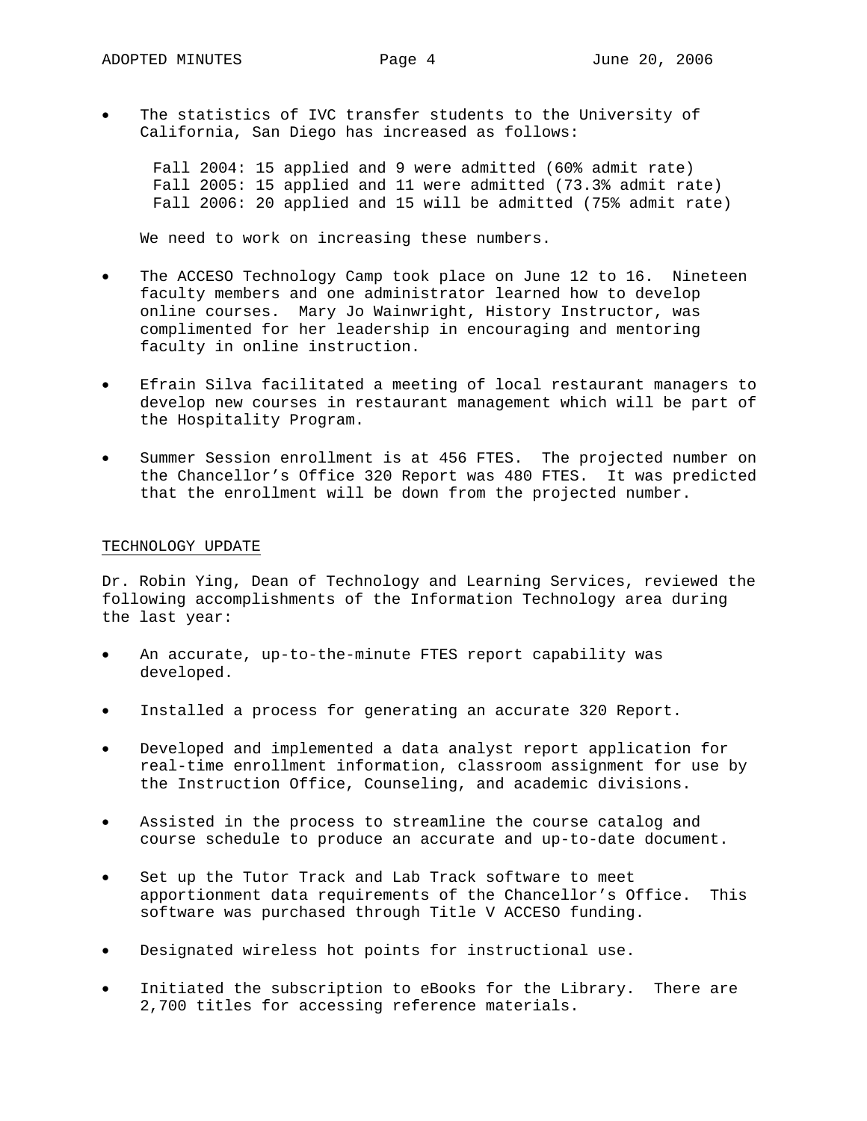The statistics of IVC transfer students to the University of California, San Diego has increased as follows:

 Fall 2004: 15 applied and 9 were admitted (60% admit rate) Fall 2005: 15 applied and 11 were admitted (73.3% admit rate) Fall 2006: 20 applied and 15 will be admitted (75% admit rate)

We need to work on increasing these numbers.

- The ACCESO Technology Camp took place on June 12 to 16. Nineteen faculty members and one administrator learned how to develop online courses. Mary Jo Wainwright, History Instructor, was complimented for her leadership in encouraging and mentoring faculty in online instruction.
- Efrain Silva facilitated a meeting of local restaurant managers to develop new courses in restaurant management which will be part of the Hospitality Program.
- Summer Session enrollment is at 456 FTES. The projected number on the Chancellor's Office 320 Report was 480 FTES. It was predicted that the enrollment will be down from the projected number.

#### TECHNOLOGY UPDATE

Dr. Robin Ying, Dean of Technology and Learning Services, reviewed the following accomplishments of the Information Technology area during the last year:

- An accurate, up-to-the-minute FTES report capability was developed.
- Installed a process for generating an accurate 320 Report.
- Developed and implemented a data analyst report application for real-time enrollment information, classroom assignment for use by the Instruction Office, Counseling, and academic divisions.
- Assisted in the process to streamline the course catalog and course schedule to produce an accurate and up-to-date document.
- Set up the Tutor Track and Lab Track software to meet apportionment data requirements of the Chancellor's Office. This software was purchased through Title V ACCESO funding.
- Designated wireless hot points for instructional use.
- Initiated the subscription to eBooks for the Library. There are 2,700 titles for accessing reference materials.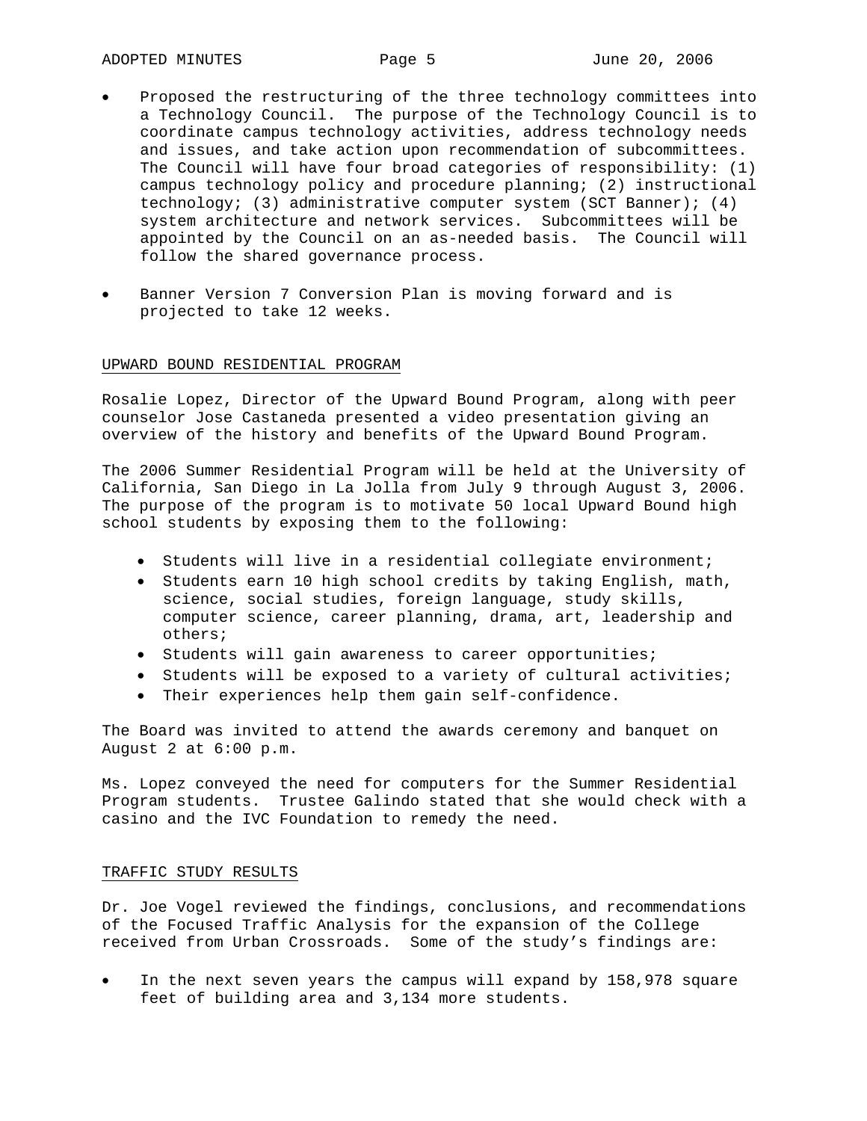- Proposed the restructuring of the three technology committees into a Technology Council. The purpose of the Technology Council is to coordinate campus technology activities, address technology needs and issues, and take action upon recommendation of subcommittees. The Council will have four broad categories of responsibility: (1) campus technology policy and procedure planning; (2) instructional technology; (3) administrative computer system (SCT Banner); (4) system architecture and network services. Subcommittees will be appointed by the Council on an as-needed basis. The Council will follow the shared governance process.
- Banner Version 7 Conversion Plan is moving forward and is projected to take 12 weeks.

#### UPWARD BOUND RESIDENTIAL PROGRAM

Rosalie Lopez, Director of the Upward Bound Program, along with peer counselor Jose Castaneda presented a video presentation giving an overview of the history and benefits of the Upward Bound Program.

The 2006 Summer Residential Program will be held at the University of California, San Diego in La Jolla from July 9 through August 3, 2006. The purpose of the program is to motivate 50 local Upward Bound high school students by exposing them to the following:

- Students will live in a residential collegiate environment;
- Students earn 10 high school credits by taking English, math, science, social studies, foreign language, study skills, computer science, career planning, drama, art, leadership and others;
- Students will gain awareness to career opportunities;
- Students will be exposed to a variety of cultural activities;
- Their experiences help them gain self-confidence.

The Board was invited to attend the awards ceremony and banquet on August 2 at 6:00 p.m.

Ms. Lopez conveyed the need for computers for the Summer Residential Program students. Trustee Galindo stated that she would check with a casino and the IVC Foundation to remedy the need.

# TRAFFIC STUDY RESULTS

Dr. Joe Vogel reviewed the findings, conclusions, and recommendations of the Focused Traffic Analysis for the expansion of the College received from Urban Crossroads. Some of the study's findings are:

In the next seven years the campus will expand by 158,978 square feet of building area and 3,134 more students.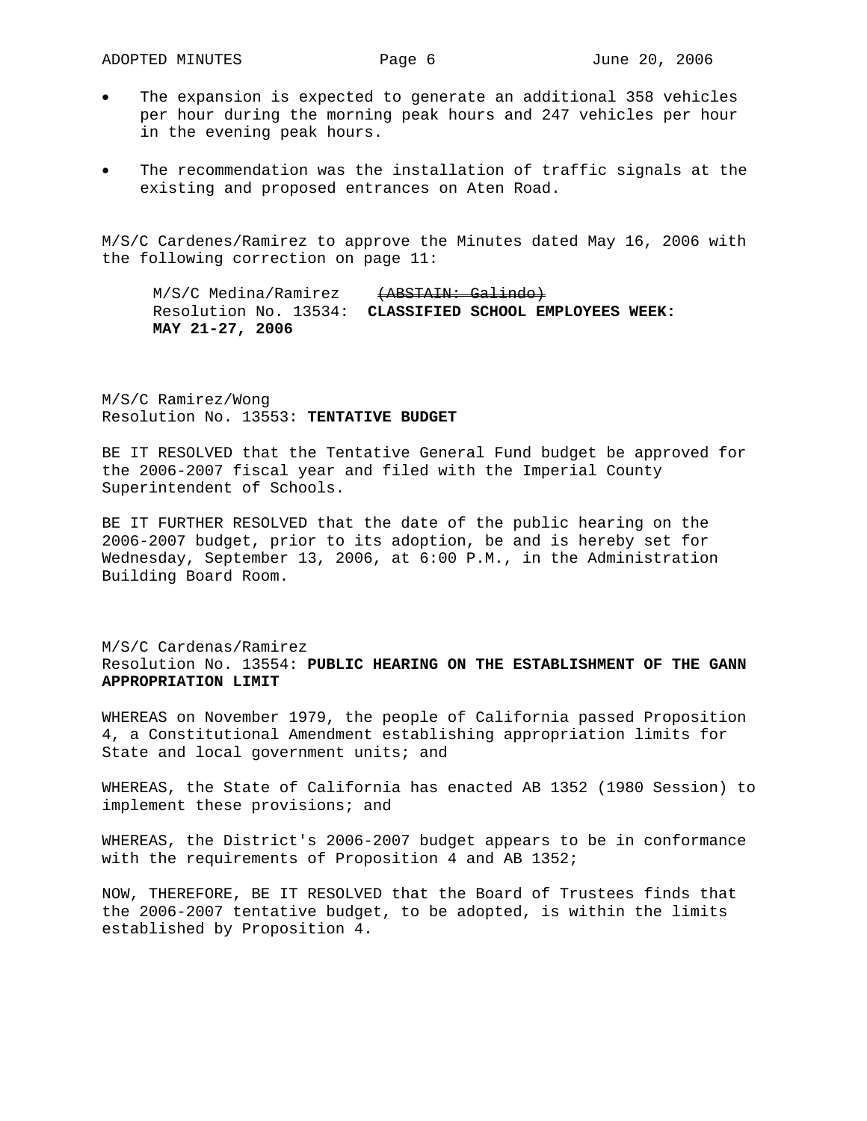- The expansion is expected to generate an additional 358 vehicles per hour during the morning peak hours and 247 vehicles per hour in the evening peak hours.
- The recommendation was the installation of traffic signals at the existing and proposed entrances on Aten Road.

M/S/C Cardenes/Ramirez to approve the Minutes dated May 16, 2006 with the following correction on page 11:

 $M/S/C$  Medina/Ramirez  $\overline{+ABSTAH}$ : Galindo) Resolution No. 13534: **CLASSIFIED SCHOOL EMPLOYEES WEEK: MAY 21-27, 2006**

M/S/C Ramirez/Wong Resolution No. 13553: **TENTATIVE BUDGET**

BE IT RESOLVED that the Tentative General Fund budget be approved for the 2006-2007 fiscal year and filed with the Imperial County Superintendent of Schools.

BE IT FURTHER RESOLVED that the date of the public hearing on the 2006-2007 budget, prior to its adoption, be and is hereby set for Wednesday, September 13, 2006, at 6:00 P.M., in the Administration Building Board Room.

# M/S/C Cardenas/Ramirez Resolution No. 13554: **PUBLIC HEARING ON THE ESTABLISHMENT OF THE GANN APPROPRIATION LIMIT**

WHEREAS on November 1979, the people of California passed Proposition 4, a Constitutional Amendment establishing appropriation limits for State and local government units; and

WHEREAS, the State of California has enacted AB 1352 (1980 Session) to implement these provisions; and

WHEREAS, the District's 2006-2007 budget appears to be in conformance with the requirements of Proposition 4 and AB 1352;

NOW, THEREFORE, BE IT RESOLVED that the Board of Trustees finds that the 2006-2007 tentative budget, to be adopted, is within the limits established by Proposition 4.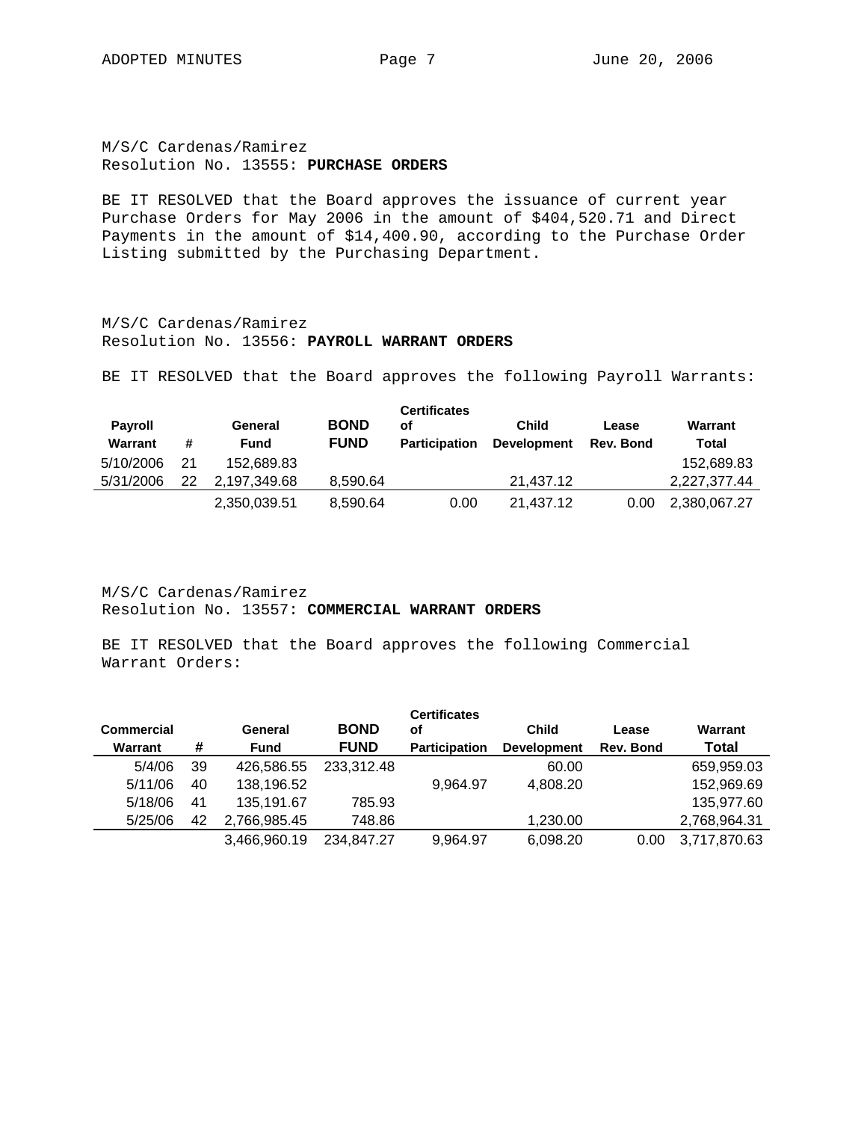# M/S/C Cardenas/Ramirez Resolution No. 13555: **PURCHASE ORDERS**

BE IT RESOLVED that the Board approves the issuance of current year Purchase Orders for May 2006 in the amount of \$404,520.71 and Direct Payments in the amount of \$14,400.90, according to the Purchase Order Listing submitted by the Purchasing Department.

M/S/C Cardenas/Ramirez Resolution No. 13556: **PAYROLL WARRANT ORDERS**

BE IT RESOLVED that the Board approves the following Payroll Warrants:

| <b>Payroll</b><br><b>Warrant</b> | #  | General<br><b>Fund</b> | <b>BOND</b><br><b>FUND</b> | <b>Certificates</b><br>οf<br><b>Participation</b> | <b>Child</b><br><b>Development</b> | Lease<br>Rev. Bond | Warrant<br>Total |
|----------------------------------|----|------------------------|----------------------------|---------------------------------------------------|------------------------------------|--------------------|------------------|
| 5/10/2006                        | 21 | 152.689.83             |                            |                                                   |                                    |                    | 152,689.83       |
| 5/31/2006                        | 22 | 2.197.349.68           | 8.590.64                   |                                                   | 21.437.12                          |                    | 2.227.377.44     |
|                                  |    | 2,350,039.51           | 8.590.64                   | 0.00                                              | 21.437.12                          | 0.00               | 2,380,067.27     |

M/S/C Cardenas/Ramirez Resolution No. 13557: **COMMERCIAL WARRANT ORDERS**

BE IT RESOLVED that the Board approves the following Commercial Warrant Orders:

| <b>Commercial</b> |    | General      | <b>BOND</b> | <b>Certificates</b><br>οf | <b>Child</b>       | Lease     | Warrant      |
|-------------------|----|--------------|-------------|---------------------------|--------------------|-----------|--------------|
| Warrant           | #  | <b>Fund</b>  | <b>FUND</b> | <b>Participation</b>      | <b>Development</b> | Rev. Bond | <b>Total</b> |
| 5/4/06            | 39 | 426.586.55   | 233,312.48  |                           | 60.00              |           | 659,959.03   |
| 5/11/06           | 40 | 138,196.52   |             | 9.964.97                  | 4.808.20           |           | 152,969.69   |
| 5/18/06           | 41 | 135,191.67   | 785.93      |                           |                    |           | 135,977.60   |
| 5/25/06           | 42 | 2.766.985.45 | 748.86      |                           | 1,230.00           |           | 2,768,964.31 |
|                   |    | 3.466.960.19 | 234.847.27  | 9,964.97                  | 6,098.20           | 0.00      | 3,717,870.63 |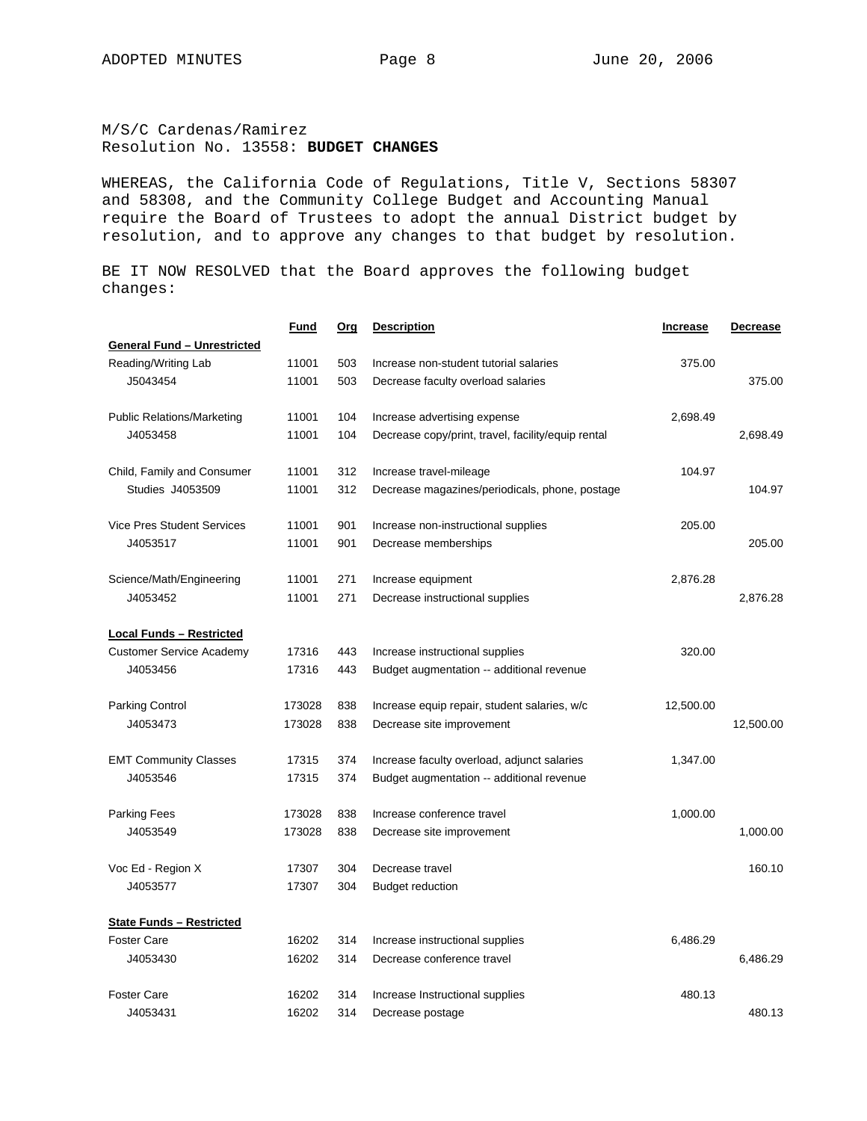M/S/C Cardenas/Ramirez Resolution No. 13558: **BUDGET CHANGES** 

WHEREAS, the California Code of Regulations, Title V, Sections 58307 and 58308, and the Community College Budget and Accounting Manual require the Board of Trustees to adopt the annual District budget by resolution, and to approve any changes to that budget by resolution.

BE IT NOW RESOLVED that the Board approves the following budget changes:

|                                    | <u>Fund</u> | <u>Orq</u> | <b>Description</b>                                 | <b>Increase</b> | <b>Decrease</b> |
|------------------------------------|-------------|------------|----------------------------------------------------|-----------------|-----------------|
| <b>General Fund - Unrestricted</b> |             |            |                                                    |                 |                 |
| Reading/Writing Lab                | 11001       | 503        | Increase non-student tutorial salaries             | 375.00          |                 |
| J5043454                           | 11001       | 503        | Decrease faculty overload salaries                 |                 | 375.00          |
| <b>Public Relations/Marketing</b>  | 11001       | 104        | Increase advertising expense                       | 2,698.49        |                 |
| J4053458                           | 11001       | 104        | Decrease copy/print, travel, facility/equip rental |                 | 2.698.49        |
| Child, Family and Consumer         | 11001       | 312        | Increase travel-mileage                            | 104.97          |                 |
| Studies J4053509                   | 11001       | 312        | Decrease magazines/periodicals, phone, postage     |                 | 104.97          |
| <b>Vice Pres Student Services</b>  | 11001       | 901        | Increase non-instructional supplies                | 205.00          |                 |
| J4053517                           | 11001       | 901        | Decrease memberships                               |                 | 205.00          |
| Science/Math/Engineering           | 11001       | 271        | Increase equipment                                 | 2,876.28        |                 |
| J4053452                           | 11001       | 271        | Decrease instructional supplies                    |                 | 2,876.28        |
| <b>Local Funds - Restricted</b>    |             |            |                                                    |                 |                 |
| <b>Customer Service Academy</b>    | 17316       | 443        | Increase instructional supplies                    | 320.00          |                 |
| J4053456                           | 17316       | 443        | Budget augmentation -- additional revenue          |                 |                 |
| <b>Parking Control</b>             | 173028      | 838        | Increase equip repair, student salaries, w/c       | 12,500.00       |                 |
| J4053473                           | 173028      | 838        | Decrease site improvement                          |                 | 12,500.00       |
| <b>EMT Community Classes</b>       | 17315       | 374        | Increase faculty overload, adjunct salaries        | 1,347.00        |                 |
| J4053546                           | 17315       | 374        | Budget augmentation -- additional revenue          |                 |                 |
| Parking Fees                       | 173028      | 838        | Increase conference travel                         | 1,000.00        |                 |
| J4053549                           | 173028      | 838        | Decrease site improvement                          |                 | 1,000.00        |
| Voc Ed - Region X                  | 17307       | 304        | Decrease travel                                    |                 | 160.10          |
| J4053577                           | 17307       | 304        | <b>Budget reduction</b>                            |                 |                 |
| <b>State Funds - Restricted</b>    |             |            |                                                    |                 |                 |
| <b>Foster Care</b>                 | 16202       | 314        | Increase instructional supplies                    | 6,486.29        |                 |
| J4053430                           | 16202       | 314        | Decrease conference travel                         |                 | 6,486.29        |
| <b>Foster Care</b>                 | 16202       | 314        | Increase Instructional supplies                    | 480.13          |                 |
| J4053431                           | 16202       | 314        | Decrease postage                                   |                 | 480.13          |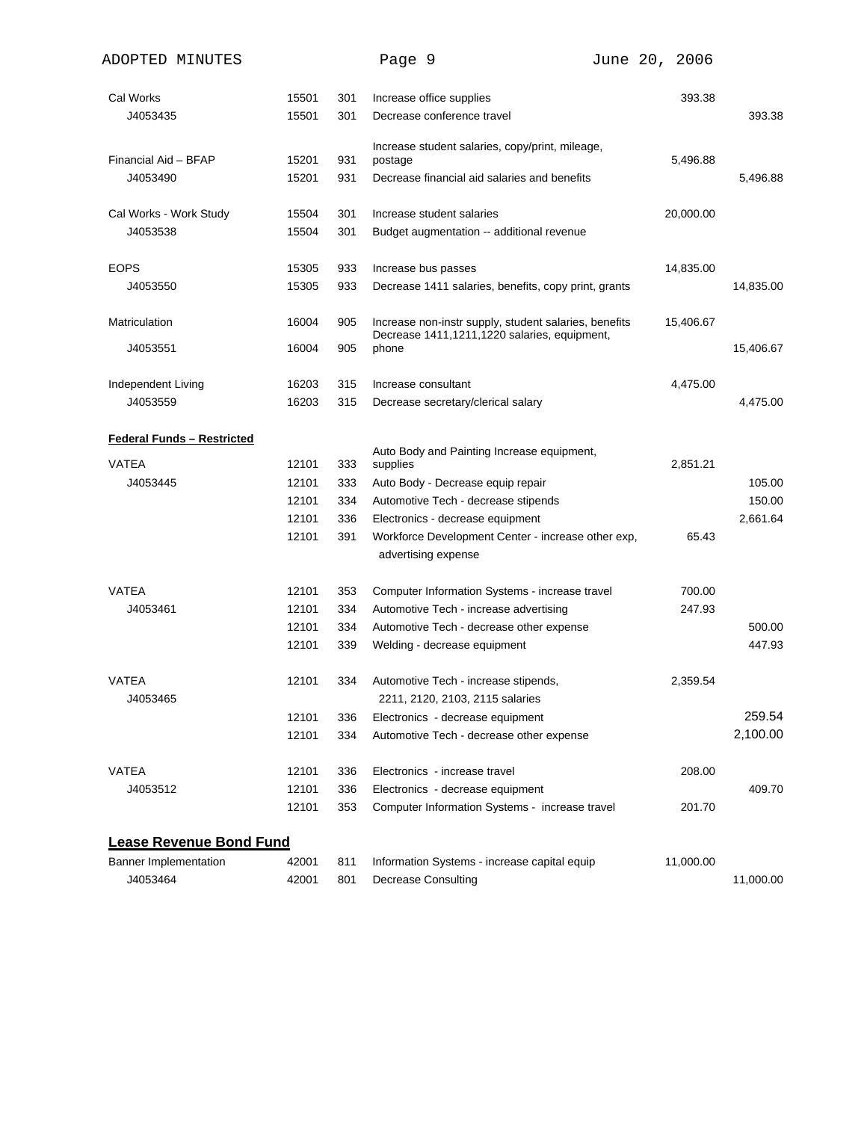| ADOPTED MINUTES                   |       |     | Page 9                                                                                                | June 20, 2006 |           |
|-----------------------------------|-------|-----|-------------------------------------------------------------------------------------------------------|---------------|-----------|
| Cal Works                         | 15501 | 301 | Increase office supplies                                                                              | 393.38        |           |
| J4053435                          | 15501 | 301 | Decrease conference travel                                                                            |               | 393.38    |
| Financial Aid - BFAP              | 15201 | 931 | Increase student salaries, copy/print, mileage,<br>postage                                            | 5,496.88      |           |
| J4053490                          | 15201 | 931 | Decrease financial aid salaries and benefits                                                          |               | 5,496.88  |
| Cal Works - Work Study            | 15504 | 301 | Increase student salaries                                                                             | 20,000.00     |           |
| J4053538                          | 15504 | 301 | Budget augmentation -- additional revenue                                                             |               |           |
| <b>EOPS</b>                       | 15305 | 933 | Increase bus passes                                                                                   | 14,835.00     |           |
| J4053550                          | 15305 | 933 | Decrease 1411 salaries, benefits, copy print, grants                                                  |               | 14,835.00 |
| Matriculation                     | 16004 | 905 | Increase non-instr supply, student salaries, benefits<br>Decrease 1411,1211,1220 salaries, equipment, | 15,406.67     |           |
| J4053551                          | 16004 | 905 | phone                                                                                                 |               | 15,406.67 |
| Independent Living                | 16203 | 315 | Increase consultant                                                                                   | 4,475.00      |           |
| J4053559                          | 16203 | 315 | Decrease secretary/clerical salary                                                                    |               | 4,475.00  |
| <b>Federal Funds - Restricted</b> |       |     |                                                                                                       |               |           |
| <b>VATEA</b>                      | 12101 | 333 | Auto Body and Painting Increase equipment,<br>supplies                                                | 2,851.21      |           |
| J4053445                          | 12101 | 333 | Auto Body - Decrease equip repair                                                                     |               | 105.00    |
|                                   | 12101 | 334 | Automotive Tech - decrease stipends                                                                   |               | 150.00    |
|                                   | 12101 | 336 | Electronics - decrease equipment                                                                      |               | 2,661.64  |
|                                   | 12101 | 391 | Workforce Development Center - increase other exp,                                                    | 65.43         |           |
|                                   |       |     | advertising expense                                                                                   |               |           |
| <b>VATEA</b>                      | 12101 | 353 | Computer Information Systems - increase travel                                                        | 700.00        |           |
| J4053461                          | 12101 | 334 | Automotive Tech - increase advertising                                                                | 247.93        |           |
|                                   | 12101 | 334 | Automotive Tech - decrease other expense                                                              |               | 500.00    |
|                                   | 12101 | 339 | Welding - decrease equipment                                                                          |               | 447.93    |
| VATEA<br>J4053465                 | 12101 | 334 | Automotive Tech - increase stipends,<br>2211, 2120, 2103, 2115 salaries                               | 2,359.54      |           |
|                                   | 12101 | 336 | Electronics - decrease equipment                                                                      |               | 259.54    |
|                                   | 12101 | 334 | Automotive Tech - decrease other expense                                                              |               | 2,100.00  |
| VATEA                             | 12101 | 336 | Electronics - increase travel                                                                         | 208.00        |           |
| J4053512                          | 12101 | 336 | Electronics - decrease equipment                                                                      |               | 409.70    |
|                                   | 12101 | 353 | Computer Information Systems - increase travel                                                        | 201.70        |           |
| <b>Lease Revenue Bond Fund</b>    |       |     |                                                                                                       |               |           |
| <b>Banner Implementation</b>      | 42001 | 811 | Information Systems - increase capital equip                                                          | 11,000.00     |           |
| J4053464                          | 42001 | 801 | <b>Decrease Consulting</b>                                                                            |               | 11,000.00 |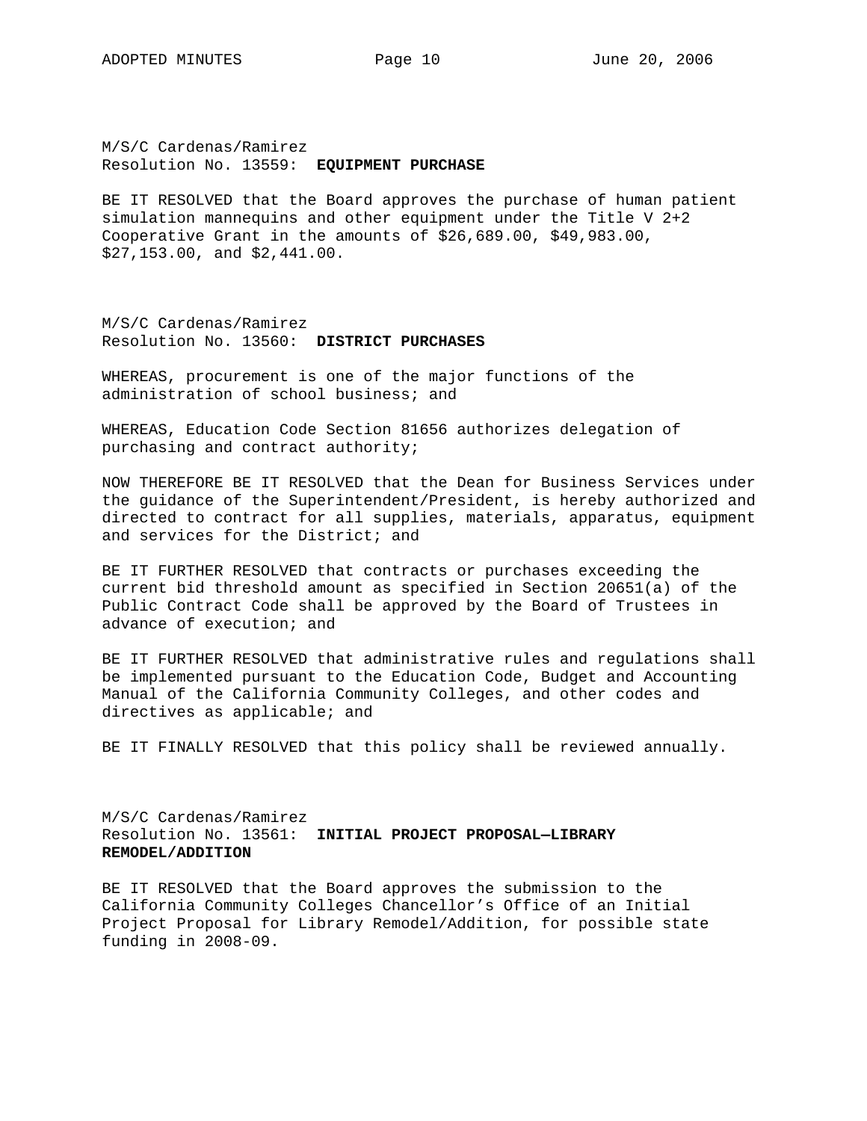M/S/C Cardenas/Ramirez Resolution No. 13559: **EQUIPMENT PURCHASE** 

BE IT RESOLVED that the Board approves the purchase of human patient simulation mannequins and other equipment under the Title V 2+2 Cooperative Grant in the amounts of \$26,689.00, \$49,983.00, \$27,153.00, and \$2,441.00.

M/S/C Cardenas/Ramirez Resolution No. 13560: **DISTRICT PURCHASES** 

WHEREAS, procurement is one of the major functions of the administration of school business; and

WHEREAS, Education Code Section 81656 authorizes delegation of purchasing and contract authority;

NOW THEREFORE BE IT RESOLVED that the Dean for Business Services under the guidance of the Superintendent/President, is hereby authorized and directed to contract for all supplies, materials, apparatus, equipment and services for the District; and

BE IT FURTHER RESOLVED that contracts or purchases exceeding the current bid threshold amount as specified in Section 20651(a) of the Public Contract Code shall be approved by the Board of Trustees in advance of execution; and

BE IT FURTHER RESOLVED that administrative rules and regulations shall be implemented pursuant to the Education Code, Budget and Accounting Manual of the California Community Colleges, and other codes and directives as applicable; and

BE IT FINALLY RESOLVED that this policy shall be reviewed annually.

M/S/C Cardenas/Ramirez Resolution No. 13561: **INITIAL PROJECT PROPOSAL—LIBRARY REMODEL/ADDITION** 

BE IT RESOLVED that the Board approves the submission to the California Community Colleges Chancellor's Office of an Initial Project Proposal for Library Remodel/Addition, for possible state funding in 2008-09.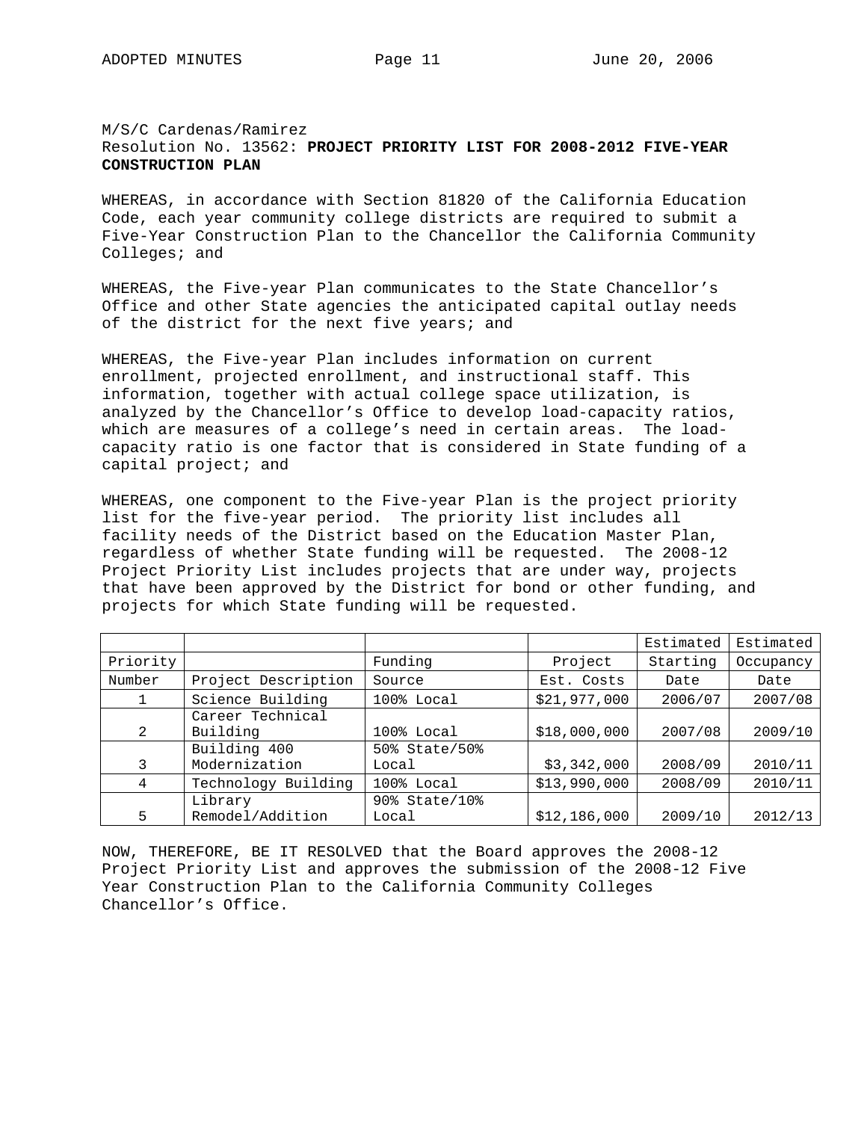#### M/S/C Cardenas/Ramirez Resolution No. 13562: **PROJECT PRIORITY LIST FOR 2008-2012 FIVE-YEAR CONSTRUCTION PLAN**

WHEREAS, in accordance with Section 81820 of the California Education Code, each year community college districts are required to submit a Five-Year Construction Plan to the Chancellor the California Community Colleges; and

WHEREAS, the Five-year Plan communicates to the State Chancellor's Office and other State agencies the anticipated capital outlay needs of the district for the next five years; and

WHEREAS, the Five-year Plan includes information on current enrollment, projected enrollment, and instructional staff. This information, together with actual college space utilization, is analyzed by the Chancellor's Office to develop load-capacity ratios, which are measures of a college's need in certain areas. The loadcapacity ratio is one factor that is considered in State funding of a capital project; and

WHEREAS, one component to the Five-year Plan is the project priority list for the five-year period. The priority list includes all facility needs of the District based on the Education Master Plan, regardless of whether State funding will be requested. The 2008-12 Project Priority List includes projects that are under way, projects that have been approved by the District for bond or other funding, and projects for which State funding will be requested.

|          |                     |               |              | Estimated | Estimated |
|----------|---------------------|---------------|--------------|-----------|-----------|
| Priority |                     | Funding       | Project      | Starting  | Occupancy |
| Number   | Project Description | Source        | Est. Costs   | Date      | Date      |
|          | Science Building    | 100% Local    | \$21,977,000 | 2006/07   | 2007/08   |
|          | Career Technical    |               |              |           |           |
| 2        | Building            | 100% Local    | \$18,000,000 | 2007/08   | 2009/10   |
|          | Building 400        | 50% State/50% |              |           |           |
| 3        | Modernization       | Local         | \$3,342,000  | 2008/09   | 2010/11   |
| 4        | Technology Building | 100% Local    | \$13,990,000 | 2008/09   | 2010/11   |
|          | Library             | 90% State/10% |              |           |           |
| 5        | Remodel/Addition    | Local         | \$12,186,000 | 2009/10   | 2012/13   |

NOW, THEREFORE, BE IT RESOLVED that the Board approves the 2008-12 Project Priority List and approves the submission of the 2008-12 Five Year Construction Plan to the California Community Colleges Chancellor's Office.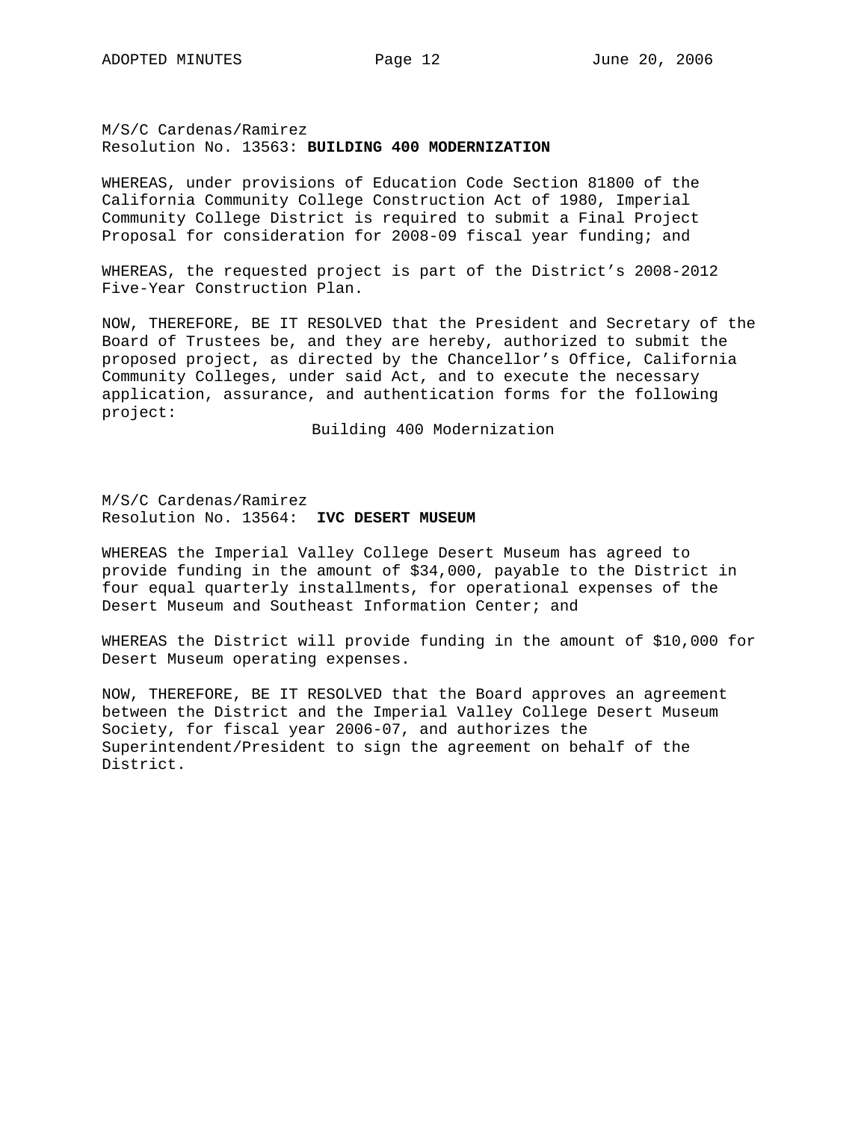#### M/S/C Cardenas/Ramirez Resolution No. 13563: **BUILDING 400 MODERNIZATION**

WHEREAS, under provisions of Education Code Section 81800 of the California Community College Construction Act of 1980, Imperial Community College District is required to submit a Final Project Proposal for consideration for 2008-09 fiscal year funding; and

WHEREAS, the requested project is part of the District's 2008-2012 Five-Year Construction Plan.

NOW, THEREFORE, BE IT RESOLVED that the President and Secretary of the Board of Trustees be, and they are hereby, authorized to submit the proposed project, as directed by the Chancellor's Office, California Community Colleges, under said Act, and to execute the necessary application, assurance, and authentication forms for the following project:

Building 400 Modernization

M/S/C Cardenas/Ramirez Resolution No. 13564: **IVC DESERT MUSEUM**

WHEREAS the Imperial Valley College Desert Museum has agreed to provide funding in the amount of \$34,000, payable to the District in four equal quarterly installments, for operational expenses of the Desert Museum and Southeast Information Center; and

WHEREAS the District will provide funding in the amount of \$10,000 for Desert Museum operating expenses.

NOW, THEREFORE, BE IT RESOLVED that the Board approves an agreement between the District and the Imperial Valley College Desert Museum Society, for fiscal year 2006-07, and authorizes the Superintendent/President to sign the agreement on behalf of the District.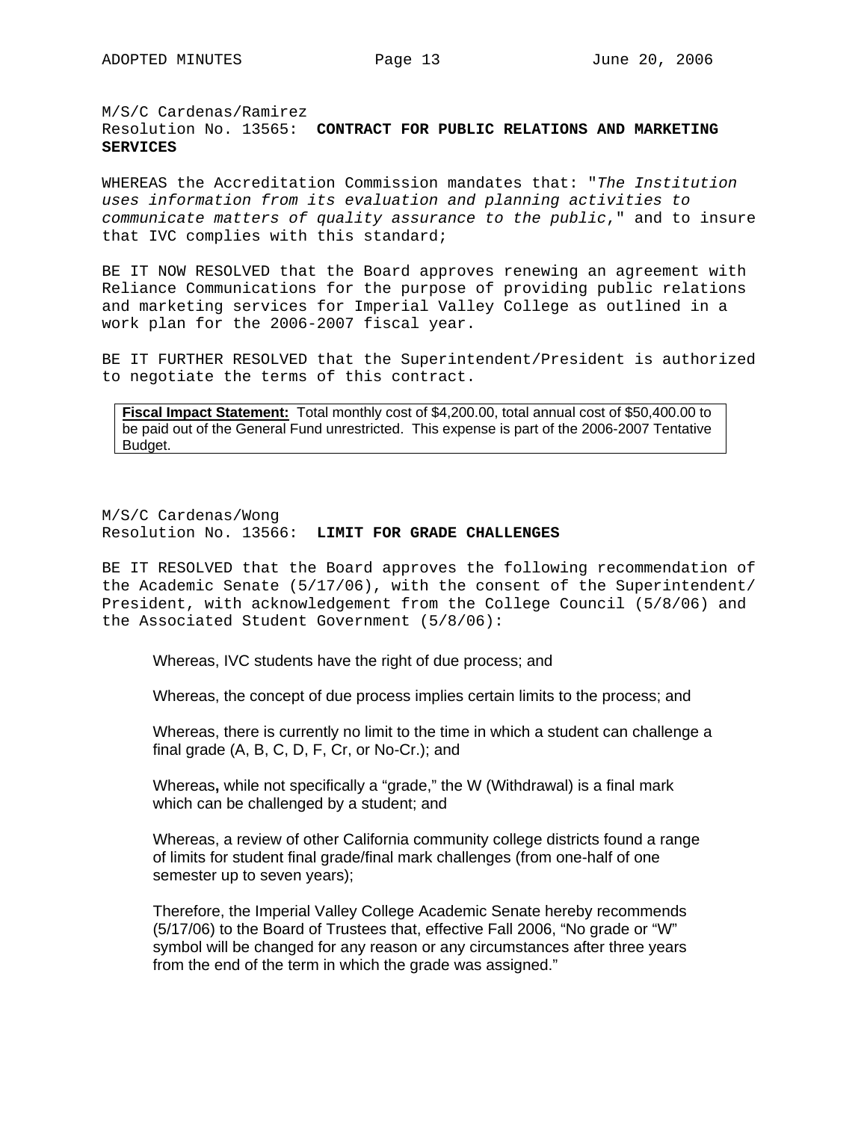# M/S/C Cardenas/Ramirez Resolution No. 13565: **CONTRACT FOR PUBLIC RELATIONS AND MARKETING SERVICES**

WHEREAS the Accreditation Commission mandates that: "*The Institution uses information from its evaluation and planning activities to communicate matters of quality assurance to the public*," and to insure that IVC complies with this standard;

BE IT NOW RESOLVED that the Board approves renewing an agreement with Reliance Communications for the purpose of providing public relations and marketing services for Imperial Valley College as outlined in a work plan for the 2006-2007 fiscal year.

BE IT FURTHER RESOLVED that the Superintendent/President is authorized to negotiate the terms of this contract.

**Fiscal Impact Statement:** Total monthly cost of \$4,200.00, total annual cost of \$50,400.00 to be paid out of the General Fund unrestricted. This expense is part of the 2006-2007 Tentative Budget.

M/S/C Cardenas/Wong Resolution No. 13566: **LIMIT FOR GRADE CHALLENGES**

BE IT RESOLVED that the Board approves the following recommendation of the Academic Senate (5/17/06), with the consent of the Superintendent/ President, with acknowledgement from the College Council (5/8/06) and the Associated Student Government (5/8/06):

Whereas, IVC students have the right of due process; and

Whereas, the concept of due process implies certain limits to the process; and

Whereas, there is currently no limit to the time in which a student can challenge a final grade (A, B, C, D, F, Cr, or No-Cr.); and

Whereas**,** while not specifically a "grade," the W (Withdrawal) is a final mark which can be challenged by a student; and

Whereas, a review of other California community college districts found a range of limits for student final grade/final mark challenges (from one-half of one semester up to seven years);

Therefore, the Imperial Valley College Academic Senate hereby recommends (5/17/06) to the Board of Trustees that, effective Fall 2006, "No grade or "W" symbol will be changed for any reason or any circumstances after three years from the end of the term in which the grade was assigned."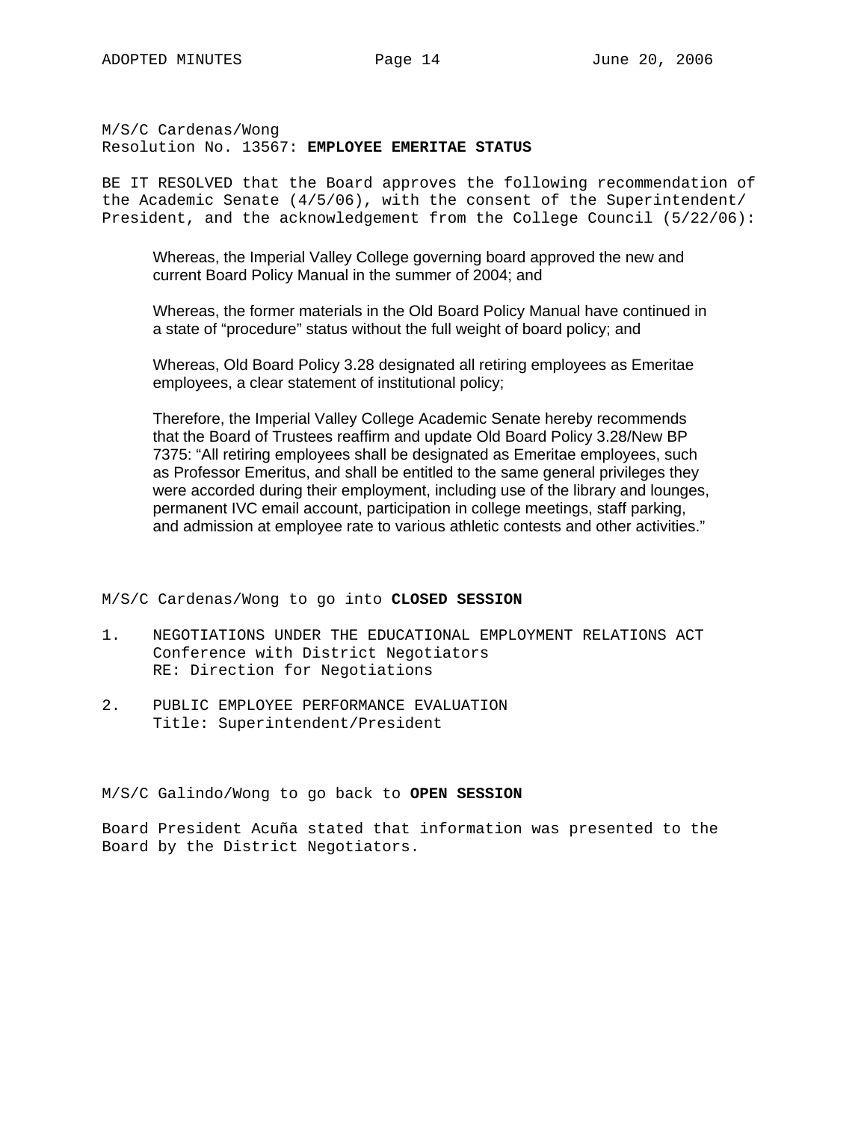M/S/C Cardenas/Wong Resolution No. 13567: **EMPLOYEE EMERITAE STATUS**

BE IT RESOLVED that the Board approves the following recommendation of the Academic Senate (4/5/06), with the consent of the Superintendent/ President, and the acknowledgement from the College Council (5/22/06):

Whereas, the Imperial Valley College governing board approved the new and current Board Policy Manual in the summer of 2004; and

Whereas, the former materials in the Old Board Policy Manual have continued in a state of "procedure" status without the full weight of board policy; and

Whereas, Old Board Policy 3.28 designated all retiring employees as Emeritae employees, a clear statement of institutional policy;

Therefore, the Imperial Valley College Academic Senate hereby recommends that the Board of Trustees reaffirm and update Old Board Policy 3.28/New BP 7375: "All retiring employees shall be designated as Emeritae employees, such as Professor Emeritus, and shall be entitled to the same general privileges they were accorded during their employment, including use of the library and lounges, permanent IVC email account, participation in college meetings, staff parking, and admission at employee rate to various athletic contests and other activities."

M/S/C Cardenas/Wong to go into **CLOSED SESSION**

- 1. NEGOTIATIONS UNDER THE EDUCATIONAL EMPLOYMENT RELATIONS ACT Conference with District Negotiators RE: Direction for Negotiations
- 2. PUBLIC EMPLOYEE PERFORMANCE EVALUATION Title: Superintendent/President

M/S/C Galindo/Wong to go back to **OPEN SESSION**

Board President Acuña stated that information was presented to the Board by the District Negotiators.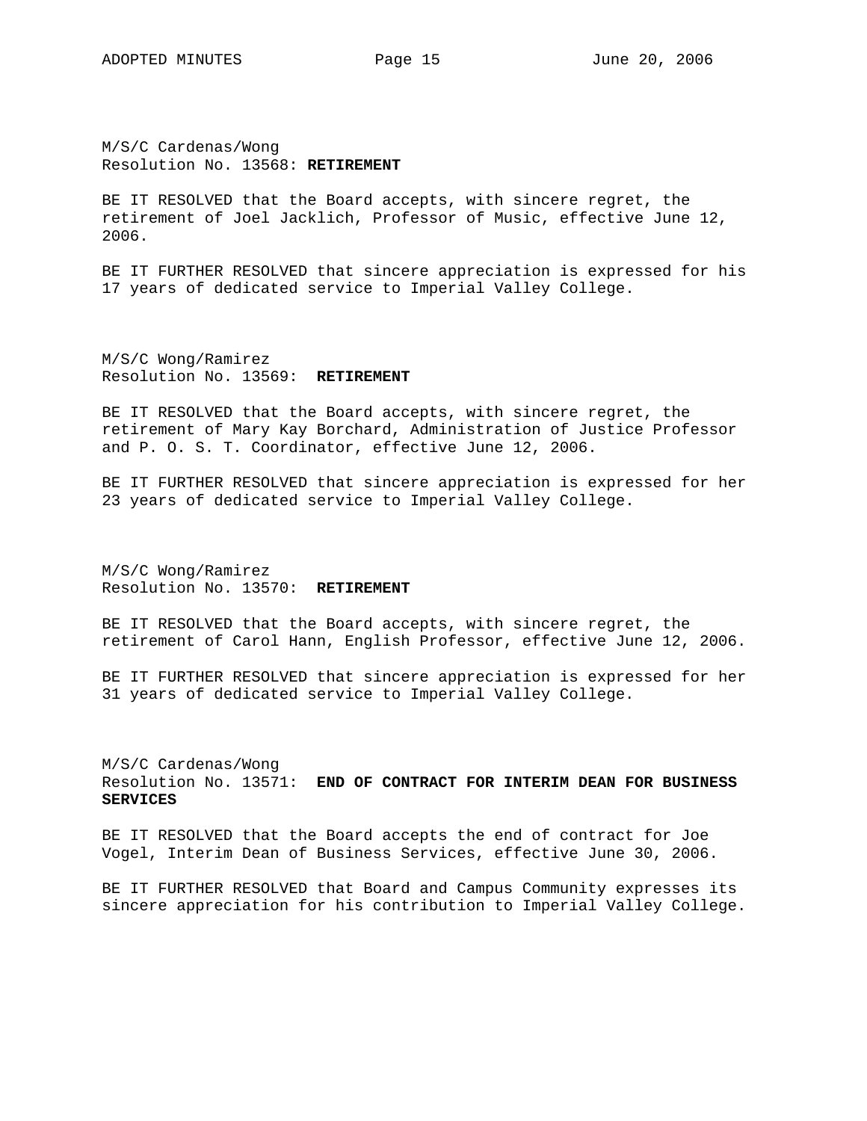M/S/C Cardenas/Wong Resolution No. 13568: **RETIREMENT**

BE IT RESOLVED that the Board accepts, with sincere regret, the retirement of Joel Jacklich, Professor of Music, effective June 12, 2006.

BE IT FURTHER RESOLVED that sincere appreciation is expressed for his 17 years of dedicated service to Imperial Valley College.

M/S/C Wong/Ramirez Resolution No. 13569: **RETIREMENT**

BE IT RESOLVED that the Board accepts, with sincere regret, the retirement of Mary Kay Borchard, Administration of Justice Professor and P. O. S. T. Coordinator, effective June 12, 2006.

BE IT FURTHER RESOLVED that sincere appreciation is expressed for her 23 years of dedicated service to Imperial Valley College.

M/S/C Wong/Ramirez Resolution No. 13570: **RETIREMENT**

BE IT RESOLVED that the Board accepts, with sincere regret, the retirement of Carol Hann, English Professor, effective June 12, 2006.

BE IT FURTHER RESOLVED that sincere appreciation is expressed for her 31 years of dedicated service to Imperial Valley College.

M/S/C Cardenas/Wong Resolution No. 13571: **END OF CONTRACT FOR INTERIM DEAN FOR BUSINESS SERVICES**

BE IT RESOLVED that the Board accepts the end of contract for Joe Vogel, Interim Dean of Business Services, effective June 30, 2006.

BE IT FURTHER RESOLVED that Board and Campus Community expresses its sincere appreciation for his contribution to Imperial Valley College.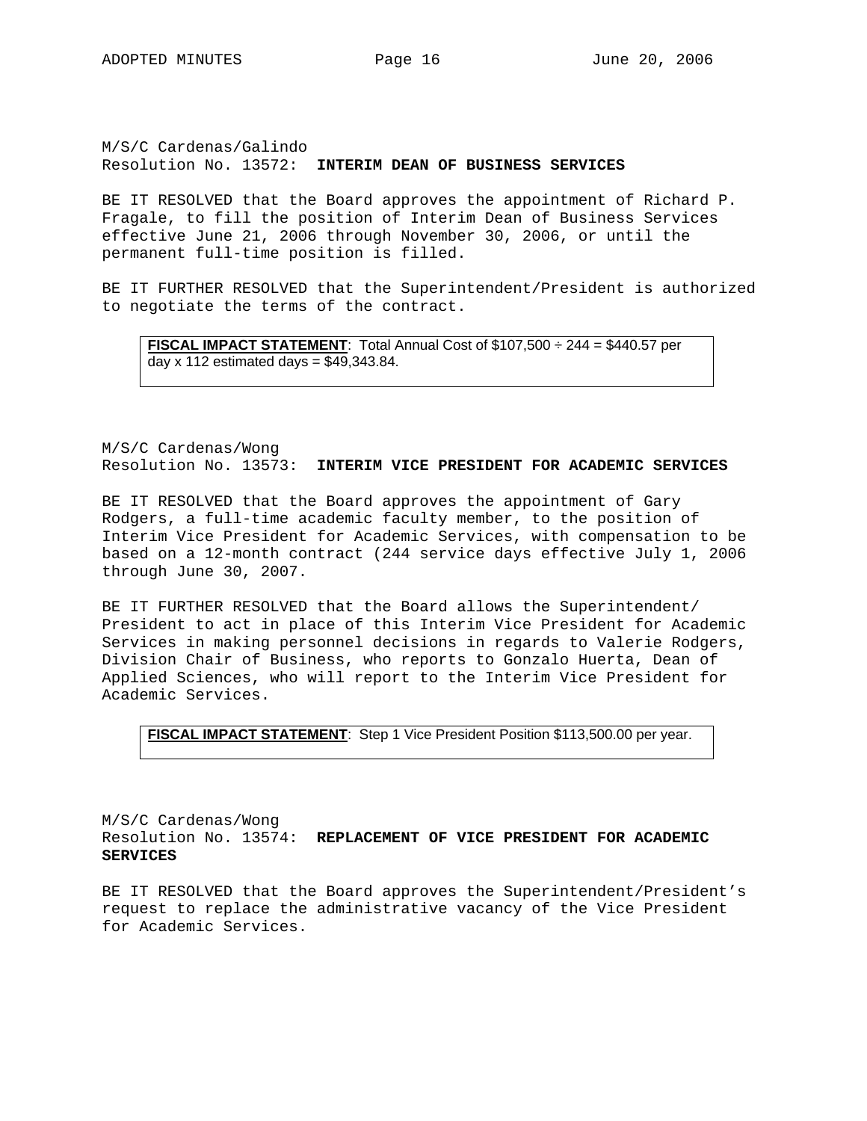M/S/C Cardenas/Galindo Resolution No. 13572: **INTERIM DEAN OF BUSINESS SERVICES**

BE IT RESOLVED that the Board approves the appointment of Richard P. Fragale, to fill the position of Interim Dean of Business Services effective June 21, 2006 through November 30, 2006, or until the permanent full-time position is filled.

BE IT FURTHER RESOLVED that the Superintendent/President is authorized to negotiate the terms of the contract.

**FISCAL IMPACT STATEMENT**: Total Annual Cost of \$107,500 ÷ 244 = \$440.57 per day  $x$  112 estimated days = \$49,343.84.

M/S/C Cardenas/Wong Resolution No. 13573: **INTERIM VICE PRESIDENT FOR ACADEMIC SERVICES**

BE IT RESOLVED that the Board approves the appointment of Gary Rodgers, a full-time academic faculty member, to the position of Interim Vice President for Academic Services, with compensation to be based on a 12-month contract (244 service days effective July 1, 2006 through June 30, 2007.

BE IT FURTHER RESOLVED that the Board allows the Superintendent/ President to act in place of this Interim Vice President for Academic Services in making personnel decisions in regards to Valerie Rodgers, Division Chair of Business, who reports to Gonzalo Huerta, Dean of Applied Sciences, who will report to the Interim Vice President for Academic Services.

```
FISCAL IMPACT STATEMENT: Step 1 Vice President Position $113,500.00 per year.
```
M/S/C Cardenas/Wong Resolution No. 13574: **REPLACEMENT OF VICE PRESIDENT FOR ACADEMIC SERVICES**

BE IT RESOLVED that the Board approves the Superintendent/President's request to replace the administrative vacancy of the Vice President for Academic Services.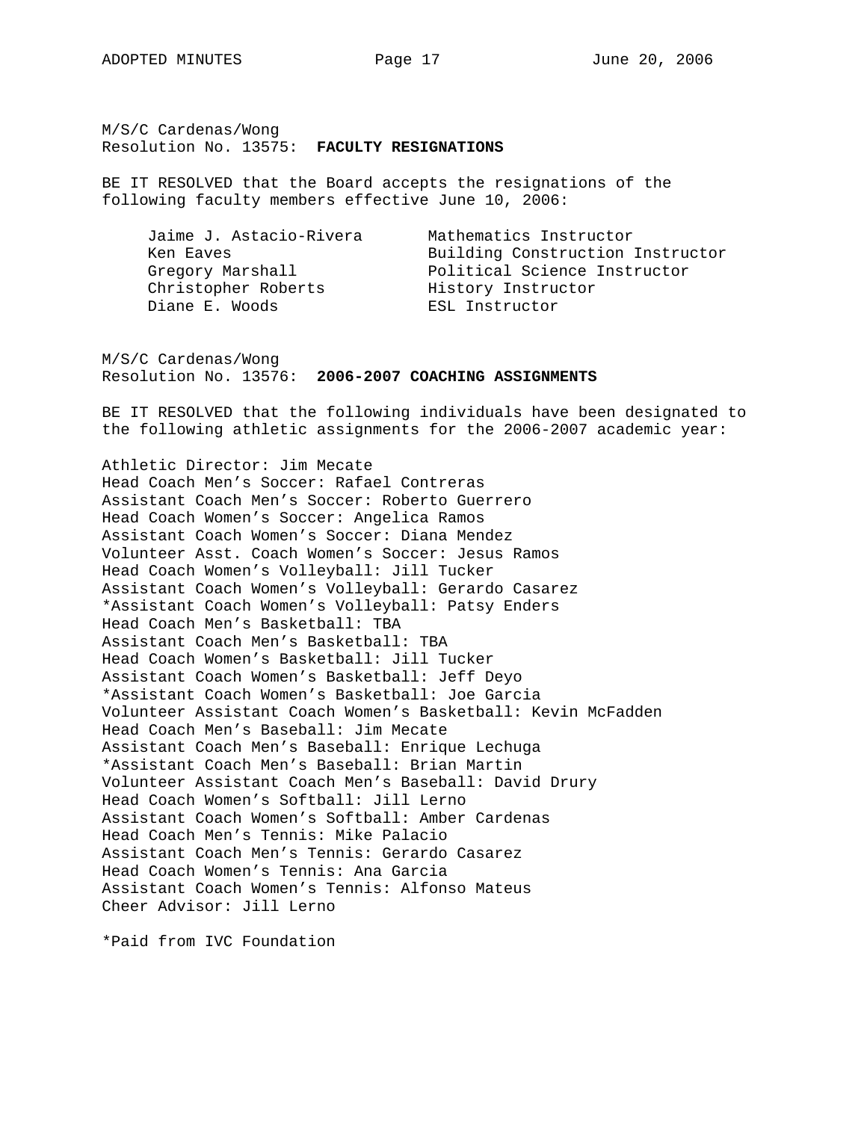M/S/C Cardenas/Wong Resolution No. 13575: **FACULTY RESIGNATIONS**

BE IT RESOLVED that the Board accepts the resignations of the following faculty members effective June 10, 2006:

| Jaime J. Astacio-Rivera | Mathematics Instructor           |
|-------------------------|----------------------------------|
| Ken Eaves               | Building Construction Instructor |
| Gregory Marshall        | Political Science Instructor     |
| Christopher Roberts     | History Instructor               |
| Diane E. Woods          | ESL Instructor                   |

M/S/C Cardenas/Wong Resolution No. 13576: **2006-2007 COACHING ASSIGNMENTS**

BE IT RESOLVED that the following individuals have been designated to the following athletic assignments for the 2006-2007 academic year:

Athletic Director: Jim Mecate Head Coach Men's Soccer: Rafael Contreras Assistant Coach Men's Soccer: Roberto Guerrero Head Coach Women's Soccer: Angelica Ramos Assistant Coach Women's Soccer: Diana Mendez Volunteer Asst. Coach Women's Soccer: Jesus Ramos Head Coach Women's Volleyball: Jill Tucker Assistant Coach Women's Volleyball: Gerardo Casarez \*Assistant Coach Women's Volleyball: Patsy Enders Head Coach Men's Basketball: TBA Assistant Coach Men's Basketball: TBA Head Coach Women's Basketball: Jill Tucker Assistant Coach Women's Basketball: Jeff Deyo \*Assistant Coach Women's Basketball: Joe Garcia Volunteer Assistant Coach Women's Basketball: Kevin McFadden Head Coach Men's Baseball: Jim Mecate Assistant Coach Men's Baseball: Enrique Lechuga \*Assistant Coach Men's Baseball: Brian Martin Volunteer Assistant Coach Men's Baseball: David Drury Head Coach Women's Softball: Jill Lerno Assistant Coach Women's Softball: Amber Cardenas Head Coach Men's Tennis: Mike Palacio Assistant Coach Men's Tennis: Gerardo Casarez Head Coach Women's Tennis: Ana Garcia Assistant Coach Women's Tennis: Alfonso Mateus Cheer Advisor: Jill Lerno

\*Paid from IVC Foundation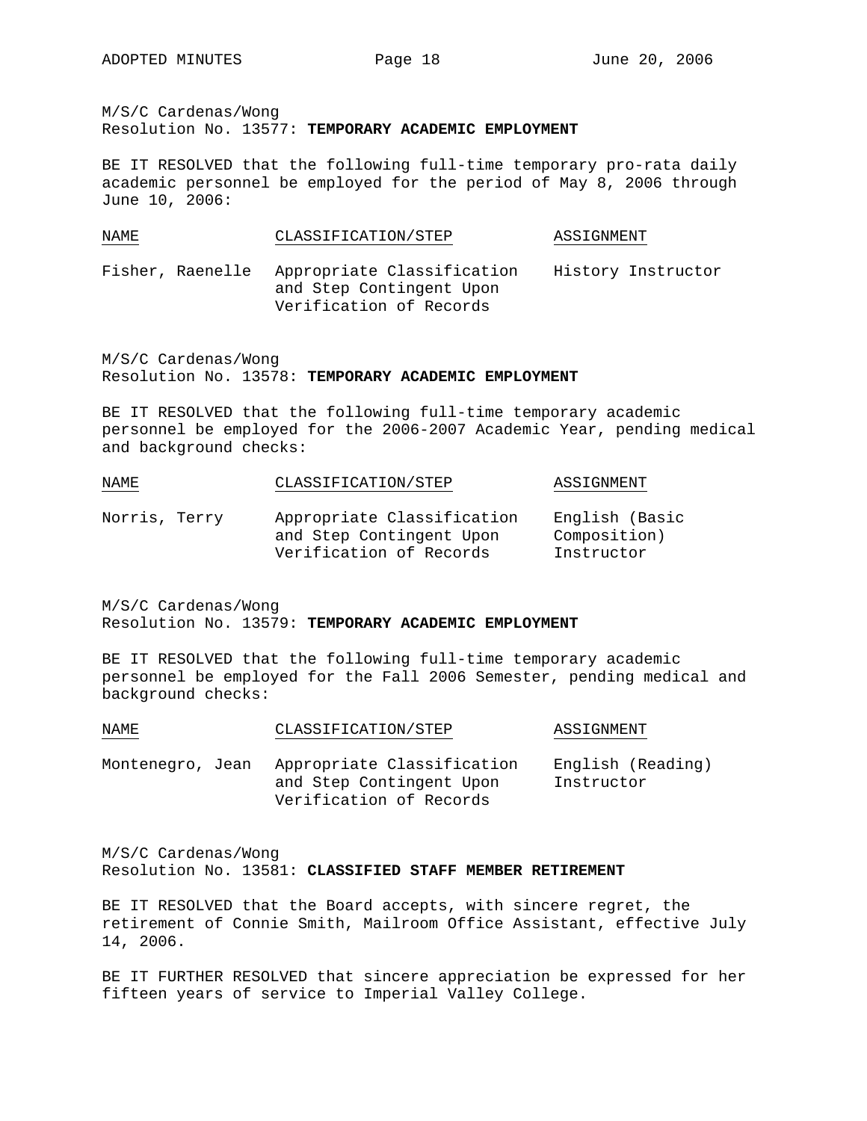M/S/C Cardenas/Wong

Resolution No. 13577: **TEMPORARY ACADEMIC EMPLOYMENT** 

BE IT RESOLVED that the following full-time temporary pro-rata daily academic personnel be employed for the period of May 8, 2006 through June 10, 2006:

| NAME             | CLASSIFICATION/STEP                                                               | ASSIGNMENT         |  |  |
|------------------|-----------------------------------------------------------------------------------|--------------------|--|--|
| Fisher, Raenelle | Appropriate Classification<br>and Step Contingent Upon<br>Verification of Records | History Instructor |  |  |

M/S/C Cardenas/Wong Resolution No. 13578: **TEMPORARY ACADEMIC EMPLOYMENT** 

BE IT RESOLVED that the following full-time temporary academic personnel be employed for the 2006-2007 Academic Year, pending medical and background checks:

| NAME          | CLASSIFICATION/STEP                                                               | ASSIGNMENT                                   |
|---------------|-----------------------------------------------------------------------------------|----------------------------------------------|
| Norris, Terry | Appropriate Classification<br>and Step Contingent Upon<br>Verification of Records | English (Basic<br>Composition)<br>Instructor |

M/S/C Cardenas/Wong Resolution No. 13579: **TEMPORARY ACADEMIC EMPLOYMENT** 

BE IT RESOLVED that the following full-time temporary academic personnel be employed for the Fall 2006 Semester, pending medical and background checks:

| NAME             | CLASSIFICATION/STEP                                                               | ASSIGNMENT                      |  |
|------------------|-----------------------------------------------------------------------------------|---------------------------------|--|
| Montenegro, Jean | Appropriate Classification<br>and Step Contingent Upon<br>Verification of Records | English (Reading)<br>Instructor |  |

M/S/C Cardenas/Wong Resolution No. 13581: **CLASSIFIED STAFF MEMBER RETIREMENT**

BE IT RESOLVED that the Board accepts, with sincere regret, the retirement of Connie Smith, Mailroom Office Assistant, effective July 14, 2006.

BE IT FURTHER RESOLVED that sincere appreciation be expressed for her fifteen years of service to Imperial Valley College.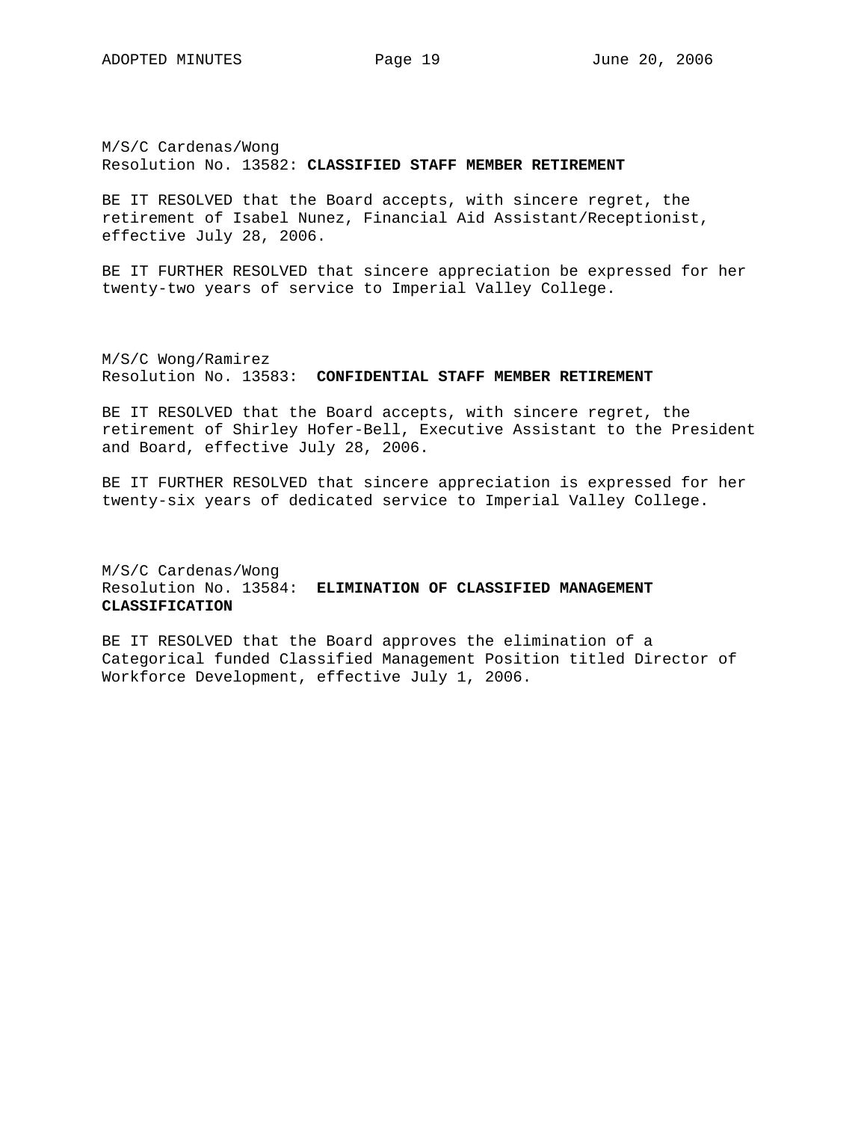M/S/C Cardenas/Wong Resolution No. 13582: **CLASSIFIED STAFF MEMBER RETIREMENT**

BE IT RESOLVED that the Board accepts, with sincere regret, the retirement of Isabel Nunez, Financial Aid Assistant/Receptionist, effective July 28, 2006.

BE IT FURTHER RESOLVED that sincere appreciation be expressed for her twenty-two years of service to Imperial Valley College.

M/S/C Wong/Ramirez Resolution No. 13583: **CONFIDENTIAL STAFF MEMBER RETIREMENT**

BE IT RESOLVED that the Board accepts, with sincere regret, the retirement of Shirley Hofer-Bell, Executive Assistant to the President and Board, effective July 28, 2006.

BE IT FURTHER RESOLVED that sincere appreciation is expressed for her twenty-six years of dedicated service to Imperial Valley College.

M/S/C Cardenas/Wong Resolution No. 13584: **ELIMINATION OF CLASSIFIED MANAGEMENT CLASSIFICATION**

BE IT RESOLVED that the Board approves the elimination of a Categorical funded Classified Management Position titled Director of Workforce Development, effective July 1, 2006.